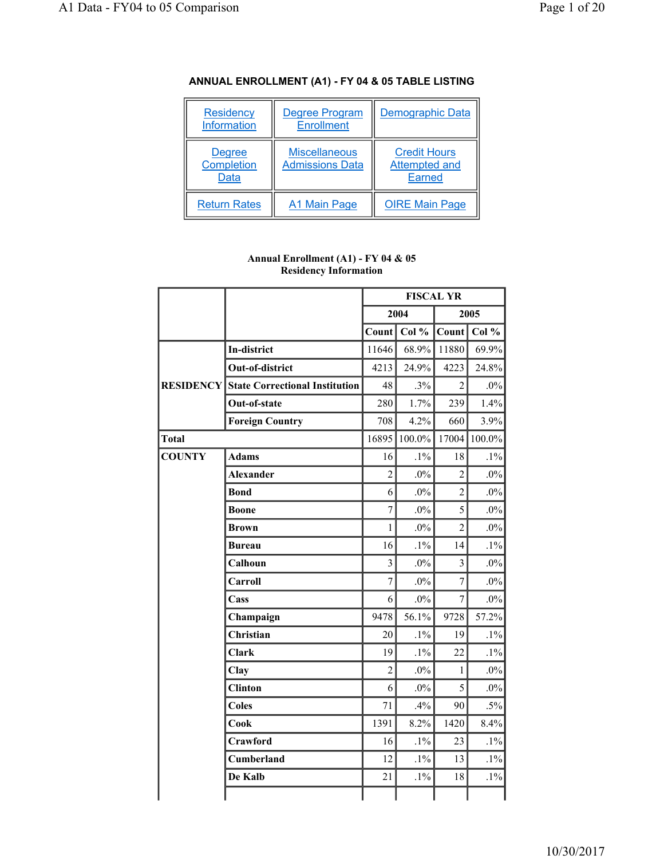| <b>Residency</b><br><b>Information</b>     | <b>Degree Program</b><br><b>Enrollment</b>     | <b>Demographic Data</b>                               |
|--------------------------------------------|------------------------------------------------|-------------------------------------------------------|
| <b>Degree</b><br><b>Completion</b><br>Data | <b>Miscellaneous</b><br><b>Admissions Data</b> | <b>Credit Hours</b><br>Attempted and<br><b>Earned</b> |
| <b>Return Rates</b>                        | A1 Main Page                                   | <b>OIRE Main Page</b>                                 |

## **ANNUAL ENROLLMENT (A1) - FY 04 & 05 TABLE LISTING**

#### **Annual Enrollment (A1) - FY 04 & 05 Residency Information**

|               |                                                 |                         |        | <b>FISCAL YR</b> |           |
|---------------|-------------------------------------------------|-------------------------|--------|------------------|-----------|
|               |                                                 |                         | 2004   |                  | 2005      |
|               |                                                 | Count                   | Col %  | Count            | Col %     |
|               | <b>In-district</b>                              | 11646                   | 68.9%  | 11880            | 69.9%     |
|               | Out-of-district                                 | 4213                    | 24.9%  | 4223             | 24.8%     |
|               | <b>RESIDENCY State Correctional Institution</b> | 48                      | .3%    | $\overline{2}$   | $.0\%$    |
|               | Out-of-state                                    | 280                     | 1.7%   | 239              | 1.4%      |
|               | <b>Foreign Country</b>                          | 708                     | 4.2%   | 660              | 3.9%      |
| <b>Total</b>  |                                                 | 16895                   | 100.0% | 17004            | $100.0\%$ |
| <b>COUNTY</b> | <b>Adams</b>                                    | 16                      | $.1\%$ | 18               | $.1\%$    |
|               | <b>Alexander</b>                                | $\overline{2}$          | $.0\%$ | $\overline{2}$   | $.0\%$    |
|               | <b>Bond</b>                                     | 6                       | $.0\%$ | $\overline{c}$   | $.0\%$    |
|               | <b>Boone</b>                                    | $\overline{7}$          | $.0\%$ | 5                | $.0\%$    |
|               | <b>Brown</b>                                    | 1                       | $.0\%$ | $\overline{2}$   | $.0\%$    |
|               | <b>Bureau</b>                                   | 16                      | $.1\%$ | 14               | $.1\%$    |
|               | Calhoun                                         | $\overline{\mathbf{3}}$ | $.0\%$ | $\overline{3}$   | $.0\%$    |
|               | Carroll                                         | $\overline{7}$          | $.0\%$ | $\overline{7}$   | $.0\%$    |
|               | Cass                                            | 6                       | $.0\%$ | $\overline{7}$   | $.0\%$    |
|               | Champaign                                       | 9478                    | 56.1%  | 9728             | 57.2%     |
|               | <b>Christian</b>                                | 20                      | $.1\%$ | 19               | $.1\%$    |
|               | Clark                                           | 19                      | $.1\%$ | 22               | $.1\%$    |
|               | Clay                                            | $\overline{2}$          | $.0\%$ | $\mathbf{1}$     | $.0\%$    |
|               | <b>Clinton</b>                                  | 6                       | $.0\%$ | 5                | $.0\%$    |
|               | <b>Coles</b>                                    | 71                      | .4%    | 90               | $.5\%$    |
|               | Cook                                            | 1391                    | 8.2%   | 1420             | 8.4%      |
|               | Crawford                                        | 16                      | $.1\%$ | 23               | $.1\%$    |
|               | <b>Cumberland</b>                               | 12                      | $.1\%$ | 13               | $.1\%$    |
|               | De Kalb                                         | 21                      | $.1\%$ | 18               | $.1\%$    |
|               |                                                 |                         |        |                  |           |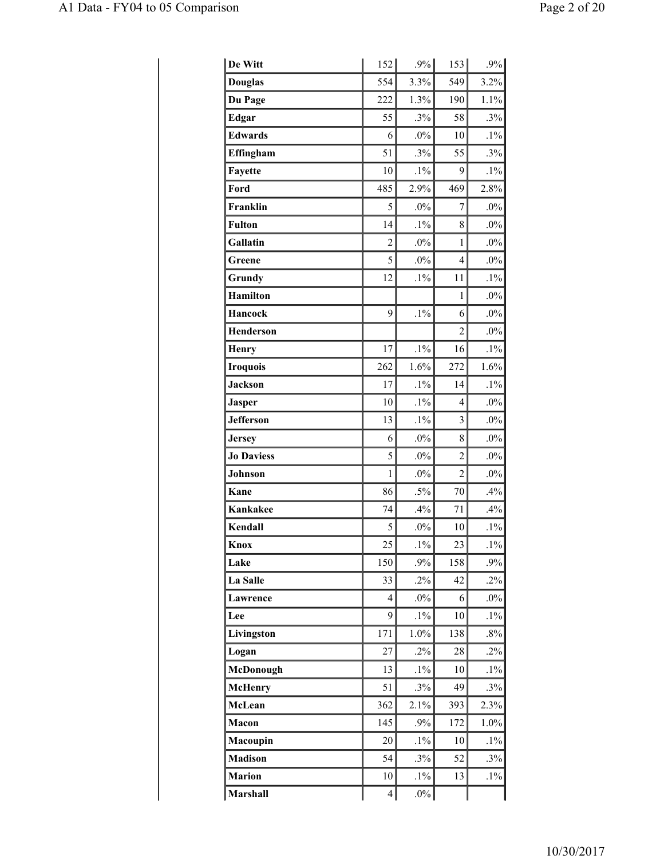| De Witt           | 152            | $.9\%$ | 153            | $.9\%$ |
|-------------------|----------------|--------|----------------|--------|
| <b>Douglas</b>    | 554            | 3.3%   | 549            | 3.2%   |
| Du Page           | 222            | 1.3%   | 190            | 1.1%   |
| <b>Edgar</b>      | 55             | .3%    | 58             | $.3\%$ |
| <b>Edwards</b>    | 6              | $.0\%$ | 10             | $.1\%$ |
| Effingham         | 51             | .3%    | 55             | .3%    |
| Fayette           | 10             | $.1\%$ | 9              | $.1\%$ |
| Ford              | 485            | 2.9%   | 469            | 2.8%   |
| Franklin          | 5              | $.0\%$ | 7              | $.0\%$ |
| <b>Fulton</b>     | 14             | $.1\%$ | 8              | $.0\%$ |
| Gallatin          | $\overline{c}$ | $.0\%$ | 1              | $.0\%$ |
| Greene            | 5              | $.0\%$ | $\overline{4}$ | $.0\%$ |
| Grundy            | 12             | $.1\%$ | 11             | $.1\%$ |
| <b>Hamilton</b>   |                |        | 1              | $.0\%$ |
| <b>Hancock</b>    | 9              | $.1\%$ | 6              | $.0\%$ |
| <b>Henderson</b>  |                |        | $\overline{2}$ | $.0\%$ |
| <b>Henry</b>      | 17             | $.1\%$ | 16             | $.1\%$ |
| <b>Iroquois</b>   | 262            | 1.6%   | 272            | 1.6%   |
| <b>Jackson</b>    | 17             | $.1\%$ | 14             | $.1\%$ |
| <b>Jasper</b>     | 10             | $.1\%$ | $\overline{4}$ | $.0\%$ |
| <b>Jefferson</b>  | 13             | $.1\%$ | 3              | $.0\%$ |
| <b>Jersey</b>     | 6              | $.0\%$ | 8              | $.0\%$ |
| <b>Jo Daviess</b> | 5              | $.0\%$ | $\overline{2}$ | $.0\%$ |
| Johnson           | 1              | $.0\%$ | $\overline{c}$ | $.0\%$ |
| Kane              | 86             | $.5\%$ | 70             | .4%    |
| <b>Kankakee</b>   | 74             | .4%    | 71             | .4%    |
| Kendall           | 5              | $.0\%$ | 10             | $.1\%$ |
| Knox              | 25             | $.1\%$ | 23             | $.1\%$ |
| Lake              | 150            | .9%    | 158            | .9%    |
| La Salle          | 33             | $.2\%$ | 42             | .2%    |
| Lawrence          | 4              | $.0\%$ | 6              | $.0\%$ |
| Lee               | 9              | $.1\%$ | 10             | $.1\%$ |
| Livingston        | 171            | 1.0%   | 138            | $.8\%$ |
| Logan             | 27             | $.2\%$ | 28             | $.2\%$ |
| McDonough         | 13             | $.1\%$ | 10             | $.1\%$ |
| <b>McHenry</b>    | 51             | $.3\%$ | 49             | $.3\%$ |
| McLean            | 362            | 2.1%   | 393            | 2.3%   |
| Macon             | 145            | .9%    | 172            | 1.0%   |
| Macoupin          | 20             | $.1\%$ | 10             | $.1\%$ |
| <b>Madison</b>    | 54             | .3%    | 52             | .3%    |
| <b>Marion</b>     | 10             | $.1\%$ | 13             | $.1\%$ |
| <b>Marshall</b>   | $\overline{4}$ | $.0\%$ |                |        |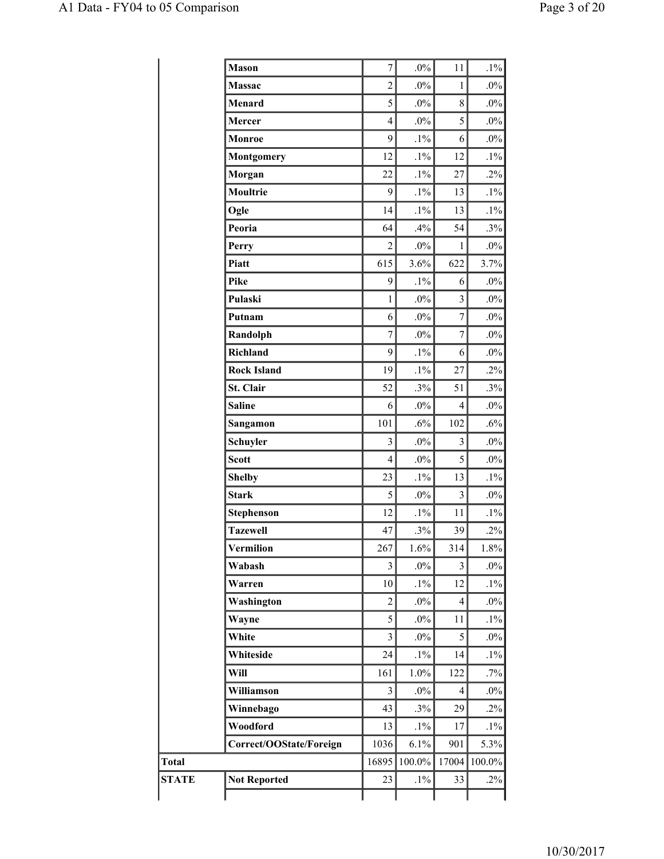|              | <b>Mason</b>            | 7                       | $.0\%$ | 11                      | $.1\%$  |
|--------------|-------------------------|-------------------------|--------|-------------------------|---------|
|              | Massac                  | $\overline{2}$          | $.0\%$ | $\mathbf{1}$            | $.0\%$  |
|              | Menard                  | 5                       | $.0\%$ | 8                       | $.0\%$  |
|              | Mercer                  | $\overline{4}$          | $.0\%$ | 5                       | $.0\%$  |
|              | Monroe                  | 9                       | $.1\%$ | 6                       | $.0\%$  |
|              | <b>Montgomery</b>       | 12                      | $.1\%$ | 12                      | $.1\%$  |
|              | Morgan                  | 22                      | $.1\%$ | 27                      | $.2\%$  |
|              | Moultrie                | 9                       | $.1\%$ | 13                      | $.1\%$  |
|              | Ogle                    | 14                      | $.1\%$ | 13                      | $.1\%$  |
|              | Peoria                  | 64                      | .4%    | 54                      | $.3\%$  |
|              | Perry                   | $\overline{c}$          | $.0\%$ | $\mathbf{1}$            | $.0\%$  |
|              | Piatt                   | 615                     | 3.6%   | 622                     | 3.7%    |
|              | Pike                    | 9                       | $.1\%$ | 6                       | $.0\%$  |
|              | Pulaski                 | $\mathbf{1}$            | $.0\%$ | $\overline{\mathbf{3}}$ | $.0\%$  |
|              | Putnam                  | 6                       | $.0\%$ | $\tau$                  | $.0\%$  |
|              | Randolph                | 7                       | $.0\%$ | $\tau$                  | $.0\%$  |
|              | Richland                | 9                       | $.1\%$ | 6                       | $.0\%$  |
|              | <b>Rock Island</b>      | 19                      | $.1\%$ | 27                      | $.2\%$  |
|              | St. Clair               | 52                      | .3%    | 51                      | .3%     |
|              | <b>Saline</b>           | 6                       | $.0\%$ | 4                       | $.0\%$  |
|              | Sangamon                | 101                     | .6%    | 102                     | $.6\%$  |
|              | Schuyler                | $\overline{3}$          | $.0\%$ | 3                       | $.0\%$  |
|              | <b>Scott</b>            | $\overline{4}$          | $.0\%$ | 5                       | $.0\%$  |
|              | <b>Shelby</b>           | 23                      | $.1\%$ | 13                      | $.1\%$  |
|              | <b>Stark</b>            | 5                       | $.0\%$ | $\mathfrak{Z}$          | $.0\%$  |
|              | <b>Stephenson</b>       | 12                      | $.1\%$ | 11                      | $.1\%$  |
|              | <b>Tazewell</b>         | 47                      | .3%    | 39                      | $.2\%$  |
|              | Vermilion               | 267                     | 1.6%   | 314                     | $1.8\%$ |
|              | Wabash                  | 3                       | $.0\%$ | 3                       | $.0\%$  |
|              | Warren                  | 10                      | $.1\%$ | 12                      | $.1\%$  |
|              | Washington              | $\overline{c}$          | $.0\%$ | 4                       | $.0\%$  |
|              | Wayne                   | 5                       | $.0\%$ | 11                      | $.1\%$  |
|              | White                   | $\overline{3}$          | $.0\%$ | 5                       | $.0\%$  |
|              | Whiteside               | 24                      | $.1\%$ | 14                      | $.1\%$  |
|              | Will                    | 161                     | 1.0%   | 122                     | .7%     |
|              | Williamson              | $\overline{\mathbf{3}}$ | $.0\%$ | 4                       | $.0\%$  |
|              | Winnebago               | 43                      | .3%    | 29                      | $.2\%$  |
|              | Woodford                | 13                      | $.1\%$ | 17                      | $.1\%$  |
|              | Correct/OOState/Foreign | 1036                    | 6.1%   | 901                     | 5.3%    |
| Total        |                         | 16895                   | 100.0% | 17004                   | 100.0%  |
| <b>STATE</b> | <b>Not Reported</b>     | 23                      | $.1\%$ | 33                      | $.2\%$  |
|              |                         |                         |        |                         |         |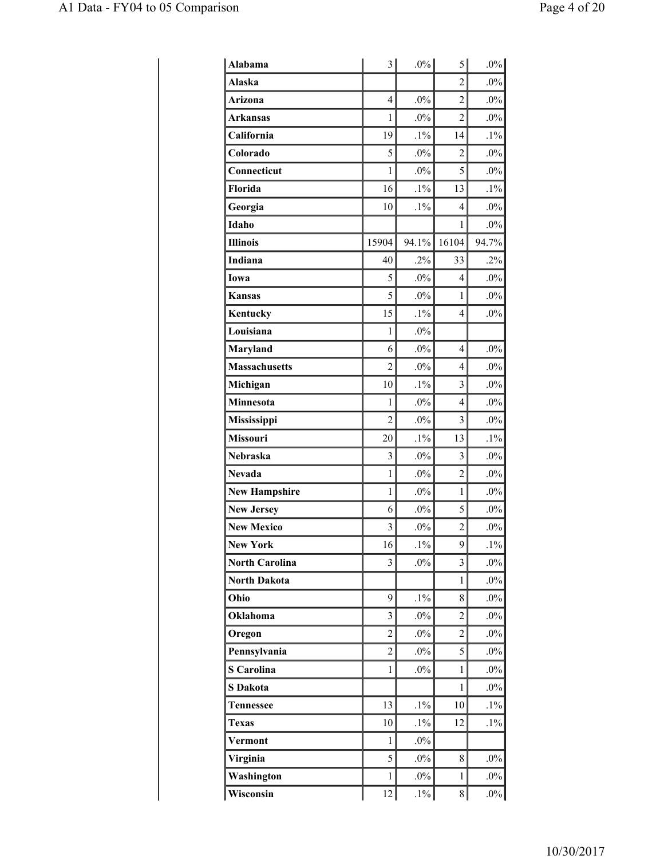| <b>Alabama</b>        | 3              | $.0\%$ | 5              | $.0\%$ |
|-----------------------|----------------|--------|----------------|--------|
| <b>Alaska</b>         |                |        | $\overline{2}$ | $.0\%$ |
| Arizona               | $\overline{4}$ | .0%    | $\overline{2}$ | $.0\%$ |
| <b>Arkansas</b>       | 1              | $.0\%$ | $\overline{2}$ | $.0\%$ |
| California            | 19             | $.1\%$ | 14             | $.1\%$ |
| Colorado              | 5              | .0%    | $\overline{c}$ | .0%    |
| Connecticut           | $\mathbf{1}$   | $.0\%$ | 5              | $.0\%$ |
| Florida               | 16             | $.1\%$ | 13             | $.1\%$ |
| Georgia               | 10             | $.1\%$ | 4              | .0%    |
| Idaho                 |                |        | 1              | $.0\%$ |
| <b>Illinois</b>       | 15904          | 94.1%  | 16104          | 94.7%  |
| Indiana               | 40             | $.2\%$ | 33             | .2%    |
| Iowa                  | 5              | $.0\%$ | 4              | $.0\%$ |
| <b>Kansas</b>         | 5              | $.0\%$ | 1              | $.0\%$ |
| Kentucky              | 15             | $.1\%$ | $\overline{4}$ | $.0\%$ |
| Louisiana             | 1              | $.0\%$ |                |        |
| Maryland              | 6              | $.0\%$ | 4              | $.0\%$ |
| <b>Massachusetts</b>  | $\overline{c}$ | $.0\%$ | $\overline{4}$ | $.0\%$ |
| Michigan              | 10             | $.1\%$ | 3              | $.0\%$ |
| Minnesota             | $\mathbf{1}$   | .0%    | $\overline{4}$ | $.0\%$ |
| <b>Mississippi</b>    | $\overline{c}$ | $.0\%$ | 3              | $.0\%$ |
| Missouri              | 20             | $.1\%$ | 13             | $.1\%$ |
| <b>Nebraska</b>       | 3              | $.0\%$ | 3              | $.0\%$ |
| <b>Nevada</b>         | $\mathbf{1}$   | .0%    | $\overline{2}$ | .0%    |
| <b>New Hampshire</b>  | $\mathbf{1}$   | $.0\%$ | $\mathbf{1}$   | $.0\%$ |
| <b>New Jersey</b>     | 6              | $.0\%$ | 5              | $.0\%$ |
| <b>New Mexico</b>     | 3              | $.0\%$ | $\overline{c}$ | $.0\%$ |
| <b>New York</b>       | 16             | $.1\%$ | 9              | $.1\%$ |
| <b>North Carolina</b> | 3              | $.0\%$ | 3              | $.0\%$ |
| <b>North Dakota</b>   |                |        | $\mathbf{1}$   | $.0\%$ |
| Ohio                  | 9              | $.1\%$ | 8              | $.0\%$ |
| Oklahoma              | 3              | $.0\%$ | 2              | $.0\%$ |
| Oregon                | $\overline{c}$ | $.0\%$ | $\overline{c}$ | $.0\%$ |
| Pennsylvania          | $\overline{c}$ | $.0\%$ | 5              | $.0\%$ |
| <b>S</b> Carolina     | $\mathbf{1}$   | $.0\%$ | 1              | $.0\%$ |
| <b>S</b> Dakota       |                |        | $\mathbf{1}$   | $.0\%$ |
| <b>Tennessee</b>      | 13             | $.1\%$ | 10             | $.1\%$ |
| <b>Texas</b>          | 10             | $.1\%$ | 12             | $.1\%$ |
| Vermont               | $\mathbf{1}$   | $.0\%$ |                |        |
| Virginia              | 5              | $.0\%$ | 8              | $.0\%$ |
| Washington            | $\mathbf{1}$   | $.0\%$ | 1              | $.0\%$ |
| Wisconsin             | 12             | $.1\%$ | 8              | $.0\%$ |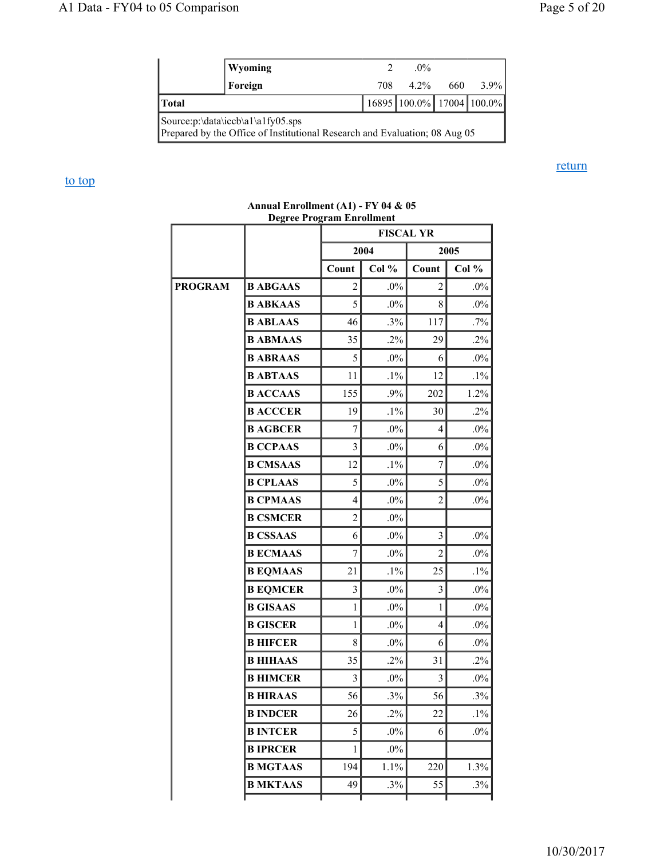return

|                                                                                                                     | Wyoming |  | $0\%$                           |  |  |  |
|---------------------------------------------------------------------------------------------------------------------|---------|--|---------------------------------|--|--|--|
|                                                                                                                     | Foreign |  | 708 4.2% 660 3.9%               |  |  |  |
| Total                                                                                                               |         |  | 16895   100.0%   17004   100.0% |  |  |  |
| Source: $p:\data\iccb\a1\a1fy05$ .sps<br>Prepared by the Office of Institutional Research and Evaluation; 08 Aug 05 |         |  |                                 |  |  |  |

#### to top

## **FISCAL YR 2004 2005** Count | Col % | Count | Col % **PROGRAM B ABGAAS** 2 .0% 2 .0% **B ABKAAS** | 5 .0% 8 .0% **B ABLAAS**  $\begin{vmatrix} 46 & .3\% & 117 \end{vmatrix}$  .7% **B ABMAAS**  $\begin{vmatrix} 35 & 2\% & 29 \end{vmatrix}$  .2% **B ABRAAS**  $\begin{bmatrix} 5 & 0 \\ 0 & 6 \end{bmatrix}$  6 .0% **B ABTAAS** 11 .1% 12 .1% **B ACCAAS** | 155 .9% 202 1.2% **B ACCCER** | 19 .1% 30 .2% **B AGBCER** | 7 .0% 4 .0% **B CCPAAS** 3 .0% 6 .0% **B CMSAAS**  $\begin{vmatrix} 12 & 1\% & 7 \end{vmatrix}$  .0% **B CPLAAS**  $\begin{bmatrix} 5 & 0 \\ 0 & 5 \end{bmatrix}$  5 .0% **B CPMAAS**  $\begin{vmatrix} 4 & 0\% & 2 & 0\% \end{vmatrix}$ **B CSMCER** 2 .0% **B CSSAAS** 6 .0% 3 .0% **B ECMAAS** 7 .0% 2 .0% **B EQMAAS**  $\begin{vmatrix} 21 & 1\% & 25 \end{vmatrix}$  .1% **B EQMCER** 3 .0% 3 .0% **B GISAAS**  $\begin{vmatrix} 1 & 0 \\ 0 & 1 \end{vmatrix}$  .0% 1 .0% **B GISCER**  $\begin{bmatrix} 1 & 0\% & 4 & 0\% \end{bmatrix}$ **B HIFCER** 8 .0% 6 .0% **B HIHAAS** 35 .2% 31 .2% **B HIMCER**  $\begin{vmatrix} 3 & 0 \\ 0 & 3 \end{vmatrix}$   $\begin{vmatrix} 0 & 3 \\ 0 & 0 \end{vmatrix}$   $\begin{vmatrix} 0 & 0 \\ 0 & 0 \end{vmatrix}$ **B HIRAAS**  $\begin{bmatrix} 56 & .3\% \\ 0 & .3\% \end{bmatrix}$  56 .3% **B INDCER** 26 .2% 22 .1% **B INTCER** | 5 .0% 6 .0% **B IPRCER** 1 .0% **B MGTAAS**  $\begin{bmatrix} 194 \\ 1.1\% \end{bmatrix}$  220 1.3% **B MKTAAS**  $\begin{vmatrix} 49 & 3\% \\ 49 & 55 \end{vmatrix}$  .3%

#### **Annual Enrollment (A1) - FY 04 & 05 Degree Program Enrollment**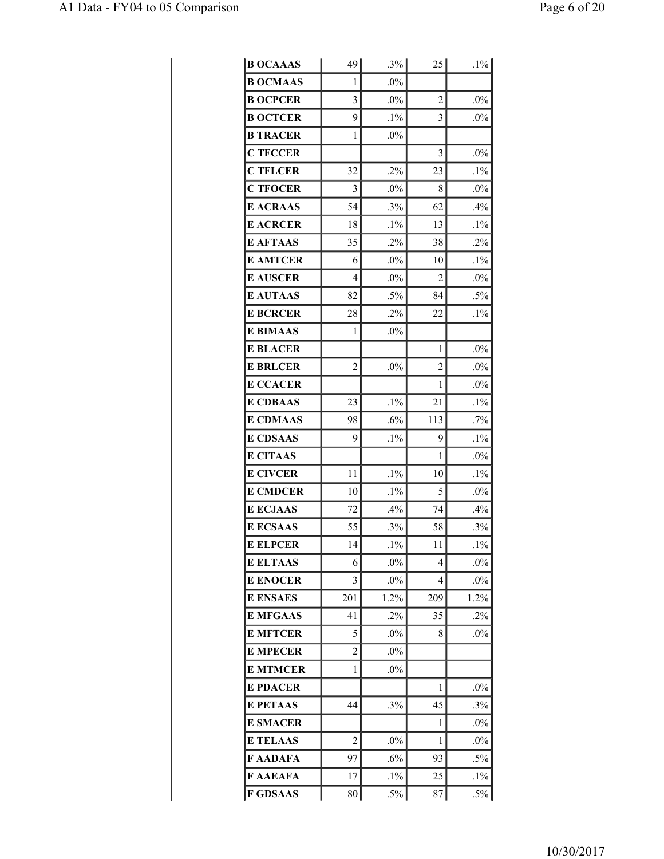| <b>B OCAAAS</b> | 49             | $.3\%$ | 25  | $.1\%$ |
|-----------------|----------------|--------|-----|--------|
| <b>B OCMAAS</b> | 1              | $.0\%$ |     |        |
| <b>B OCPCER</b> | 3              | $.0\%$ | 2   | $.0\%$ |
| <b>B OCTCER</b> | 9              | $.1\%$ | 3   | .0%    |
| <b>B TRACER</b> | 1              | $.0\%$ |     |        |
| <b>C TFCCER</b> |                |        | 3   | $.0\%$ |
| <b>C TFLCER</b> | 32             | $.2\%$ | 23  | $.1\%$ |
| <b>C TFOCER</b> | 3              | $.0\%$ | 8   | $.0\%$ |
| <b>E ACRAAS</b> | 54             | .3%    | 62  | .4%    |
| <b>E ACRCER</b> | 18             | $.1\%$ | 13  | $.1\%$ |
| <b>E AFTAAS</b> | 35             | $.2\%$ | 38  | .2%    |
| <b>E AMTCER</b> | 6              | $.0\%$ | 10  | $.1\%$ |
| <b>E AUSCER</b> | 4              | $.0\%$ | 2   | .0%    |
| <b>E AUTAAS</b> | 82             | $.5\%$ | 84  | $.5\%$ |
| <b>E BCRCER</b> | 28             | $.2\%$ | 22  | $.1\%$ |
| <b>E BIMAAS</b> | 1              | $.0\%$ |     |        |
| <b>E BLACER</b> |                |        | 1   | $.0\%$ |
| <b>E BRLCER</b> | $\overline{2}$ | $.0\%$ | 2   | $.0\%$ |
| <b>E CCACER</b> |                |        | 1   | .0%    |
| <b>E CDBAAS</b> | 23             | $.1\%$ | 21  | $.1\%$ |
| <b>E CDMAAS</b> | 98             | .6%    | 113 | .7%    |
| <b>E CDSAAS</b> | 9              | $.1\%$ | 9   | $.1\%$ |
| <b>E CITAAS</b> |                |        | 1   | $.0\%$ |
| <b>E CIVCER</b> | 11             | $.1\%$ | 10  | $.1\%$ |
| <b>E CMDCER</b> | 10             | $.1\%$ | 5   | .0%    |
| <b>E ECJAAS</b> | 72             | .4%    | 74  | .4%    |
| <b>E ECSAAS</b> | 55             | .3%    | 58  | .3%    |
| <b>E ELPCER</b> | 14             | $.1\%$ | 11  | $.1\%$ |
| <b>E ELTAAS</b> | 6              | $.0\%$ | 4   | $.0\%$ |
| <b>E ENOCER</b> | 3              | $.0\%$ | 4   | $.0\%$ |
| <b>E ENSAES</b> | 201            | 1.2%   | 209 | 1.2%   |
| <b>E MFGAAS</b> | 41             | $.2\%$ | 35  | $.2\%$ |
| <b>E MFTCER</b> | 5              | $.0\%$ | 8   | $.0\%$ |
| <b>E MPECER</b> | 2              | $.0\%$ |     |        |
| <b>E MTMCER</b> | 1              | $.0\%$ |     |        |
| <b>E PDACER</b> |                |        | 1   | $.0\%$ |
| <b>E PETAAS</b> | 44             | .3%    | 45  | .3%    |
| <b>E SMACER</b> |                |        | 1   | $.0\%$ |
| <b>E TELAAS</b> | $\overline{c}$ | $.0\%$ | 1   | .0%    |
| F AADAFA        | 97             | $.6\%$ | 93  | $.5\%$ |
| F AAEAFA        | 17             | $.1\%$ | 25  | $.1\%$ |
| <b>F GDSAAS</b> | 80             | $.5\%$ | 87  | $.5\%$ |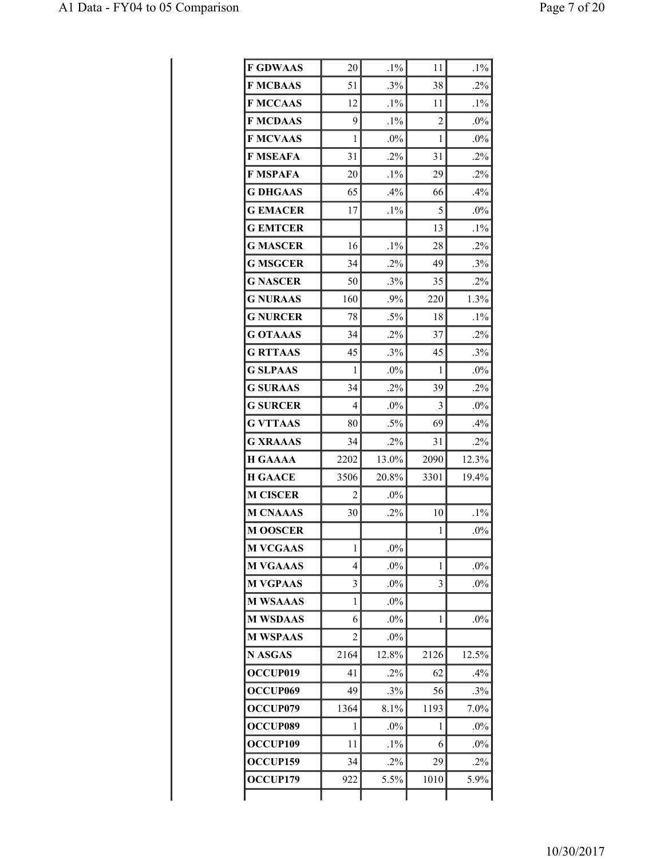| <b>F GDWAAS</b>      | 20             | $.1\%$ | 11             | $.1\%$ |
|----------------------|----------------|--------|----------------|--------|
| <b>F MCBAAS</b>      | 51             | .3%    | 38             | $.2\%$ |
| <b>F MCCAAS</b>      | 12             | $.1\%$ | 11             | $.1\%$ |
| <b>F MCDAAS</b>      | 9              | $.1\%$ | $\overline{2}$ | .0%    |
| <b>F MCVAAS</b>      | 1              | $.0\%$ | 1              | $.0\%$ |
| <b>F MSEAFA</b>      | 31             | $.2\%$ | 31             | $.2\%$ |
| F MSPAFA             | 20             | $.1\%$ | 29             | $.2\%$ |
| <b>G DHGAAS</b>      | 65             | .4%    | 66             | .4%    |
| <b>G EMACER</b>      | 17             | $.1\%$ | 5              | $.0\%$ |
| <b>G EMTCER</b>      |                |        | 13             | $.1\%$ |
| <b>G MASCER</b>      | 16             | $.1\%$ | 28             | .2%    |
| <b>G MSGCER</b>      | 34             | $.2\%$ | 49             | .3%    |
| <b>G NASCER</b>      | 50             | .3%    | 35             | .2%    |
| <b>G NURAAS</b>      | 160            | .9%    | 220            | 1.3%   |
| <b>G NURCER</b>      | 78             | $.5\%$ | 18             | $.1\%$ |
| <b>G OTAAAS</b>      | 34             | $.2\%$ | 37             | $.2\%$ |
| <b>G RTTAAS</b>      | 45             | $.3\%$ | 45             | .3%    |
| <b>G SLPAAS</b>      | 1              | $.0\%$ | 1              | $.0\%$ |
| <b>G SURAAS</b>      | 34             | .2%    | 39             | .2%    |
| <b>G SURCER</b>      | 4              | $.0\%$ | 3              | $.0\%$ |
| <b>G VTTAAS</b>      | 80             | $.5\%$ | 69             | .4%    |
| <b>G XRAAAS</b>      | 34             | $.2\%$ | 31             | $.2\%$ |
| <b>H GAAAA</b>       | 2202           | 13.0%  | 2090           | 12.3%  |
| <b>H GAACE</b>       | 3506           | 20.8%  | 3301           | 19.4%  |
| <b>M CISCER</b>      | 2              | $.0\%$ |                |        |
| <b>M CNAAAS</b>      | 30             | $.2\%$ | 10             | $.1\%$ |
| <b>M OOSCER</b>      |                |        | 1              | .0%    |
| <b>M VCGAAS</b>      | 1              | $.0\%$ |                |        |
| <b>M VGAAAS</b>      | 4              | $.0\%$ | 1              | $.0\%$ |
| <b>M VGPAAS</b>      | 3              | $.0\%$ | 3              | $.0\%$ |
| <b>M WSAAAS</b>      | 1              | $.0\%$ |                |        |
| <b>M WSDAAS</b>      | 6              | $.0\%$ | 1              | .0%    |
| <b>M WSPAAS</b>      | $\overline{2}$ | $.0\%$ |                |        |
| <b>N ASGAS</b>       | 2164           | 12.8%  | 2126           | 12.5%  |
| OCCUP019             | 41             | $.2\%$ | 62             | .4%    |
| OCCUP <sub>069</sub> | 49             | $.3\%$ | 56             | $.3\%$ |
| OCCUP079             | 1364           | 8.1%   | 1193           | 7.0%   |
| OCCUP089             | 1              | $.0\%$ | 1              | $.0\%$ |
| OCCUP109             | 11             | $.1\%$ | 6              | $.0\%$ |
| OCCUP159             | 34             | $.2\%$ | 29             | $.2\%$ |
| OCCUP179             | 922            | 5.5%   | 1010           | 5.9%   |
|                      |                |        |                |        |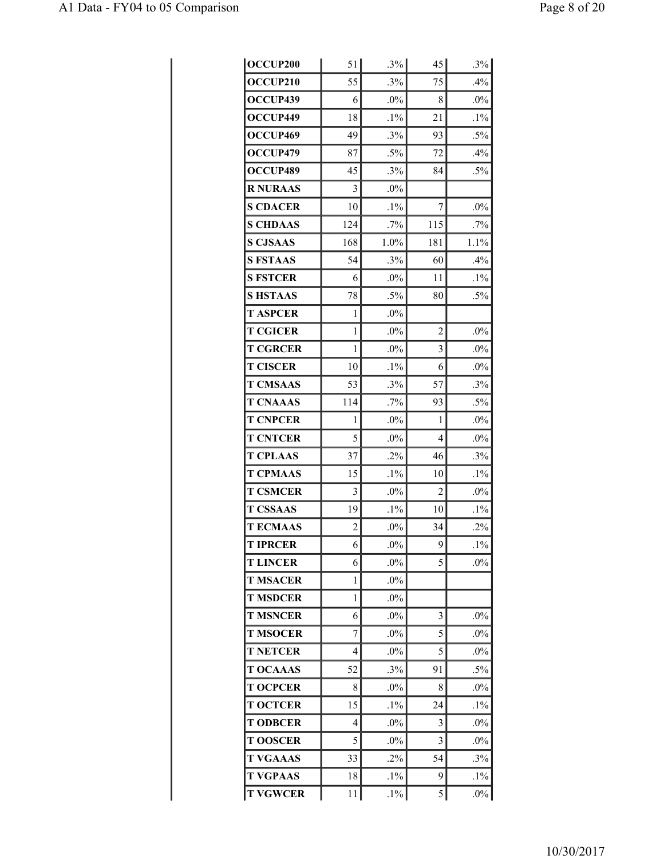| OCCUP200        | 51             | $.3\%$ | 45             | $.3\%$ |
|-----------------|----------------|--------|----------------|--------|
| <b>OCCUP210</b> | 55             | .3%    | 75             | .4%    |
| OCCUP439        | 6              | .0%    | 8              | $.0\%$ |
| OCCUP449        | 18             | $.1\%$ | 21             | $.1\%$ |
| OCCUP469        | 49             | .3%    | 93             | $.5\%$ |
| OCCUP479        | 87             | $.5\%$ | 72             | .4%    |
| OCCUP489        | 45             | .3%    | 84             | $.5\%$ |
| <b>R NURAAS</b> | 3              | $.0\%$ |                |        |
| <b>S CDACER</b> | 10             | $.1\%$ | 7              | $.0\%$ |
| <b>S CHDAAS</b> | 124            | .7%    | 115            | $.7\%$ |
| <b>S CJSAAS</b> | 168            | 1.0%   | 181            | 1.1%   |
| <b>S FSTAAS</b> | 54             | .3%    | 60             | .4%    |
| <b>S FSTCER</b> | 6              | $.0\%$ | 11             | $.1\%$ |
| <b>S HSTAAS</b> | 78             | $.5\%$ | 80             | $.5\%$ |
| <b>T ASPCER</b> | 1              | $.0\%$ |                |        |
| <b>T CGICER</b> | 1              | $.0\%$ | $\overline{2}$ | .0%    |
| <b>T CGRCER</b> | 1              | $.0\%$ | 3              | $.0\%$ |
| <b>T CISCER</b> | 10             | $.1\%$ | 6              | $.0\%$ |
| <b>T CMSAAS</b> | 53             | $.3\%$ | 57             | .3%    |
| <b>T CNAAAS</b> | 114            | .7%    | 93             | $.5\%$ |
| <b>T CNPCER</b> | 1              | $.0\%$ | 1              | $.0\%$ |
| <b>T CNTCER</b> | 5              | $.0\%$ | 4              | .0%    |
| <b>T CPLAAS</b> | 37             | $.2\%$ | 46             | .3%    |
| <b>T CPMAAS</b> | 15             | $.1\%$ | 10             | $.1\%$ |
| <b>T CSMCER</b> | 3              | $.0\%$ | 2              | $.0\%$ |
| <b>T CSSAAS</b> | 19             | $.1\%$ | 10             | $.1\%$ |
| <b>TECMAAS</b>  | $\overline{c}$ | .0%    | 34             | $.2\%$ |
| <b>T IPRCER</b> | 6              | $.0\%$ | 9              | $.1\%$ |
| <b>T LINCER</b> | 6              | $.0\%$ | 5              | $.0\%$ |
| <b>T MSACER</b> | 1              | $.0\%$ |                |        |
| <b>T MSDCER</b> | 1              | $.0\%$ |                |        |
| <b>T MSNCER</b> | 6              | $.0\%$ | 3              | $.0\%$ |
| <b>T MSOCER</b> | 7              | $.0\%$ | 5              | $.0\%$ |
| <b>T NETCER</b> | 4              | $.0\%$ | 5              | $.0\%$ |
| <b>T OCAAAS</b> | 52             | .3%    | 91             | $.5\%$ |
| <b>T OCPCER</b> | 8              | $.0\%$ | 8              | $.0\%$ |
| <b>T OCTCER</b> | 15             | $.1\%$ | 24             | $.1\%$ |
| <b>T ODBCER</b> | 4              | $.0\%$ | 3              | $.0\%$ |
| <b>T OOSCER</b> | 5              | $.0\%$ | 3              | .0%    |
| <b>T VGAAAS</b> | 33             | $.2\%$ | 54             | .3%    |
| <b>T VGPAAS</b> | 18             | $.1\%$ | 9              | $.1\%$ |
| <b>T VGWCER</b> | 11             | $.1\%$ | 5              | $.0\%$ |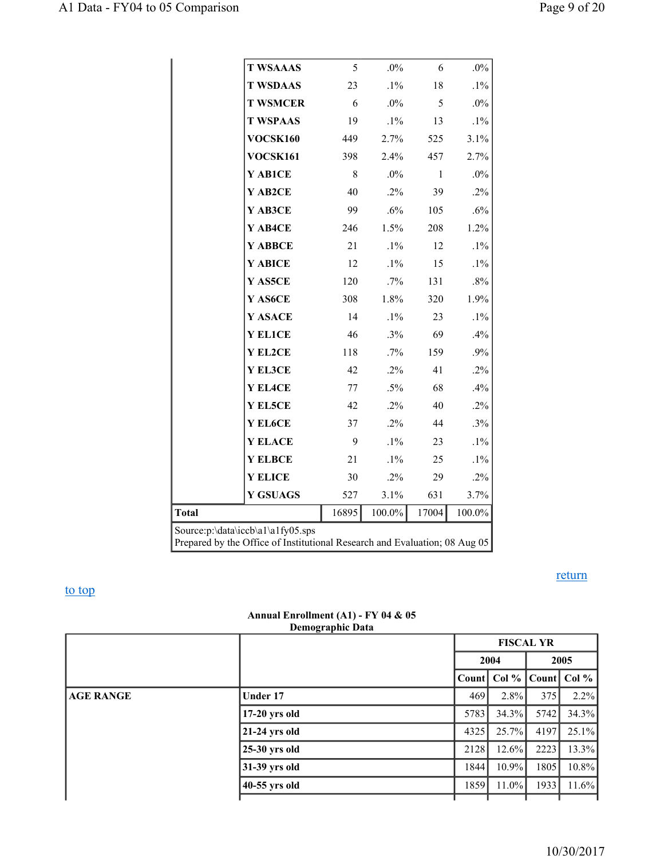|                                                                                                                 | <b>T WSAAAS</b> | 5     | $.0\%$ | 6     | $.0\%$ |  |
|-----------------------------------------------------------------------------------------------------------------|-----------------|-------|--------|-------|--------|--|
|                                                                                                                 | <b>T WSDAAS</b> | 23    | $.1\%$ | 18    | $.1\%$ |  |
|                                                                                                                 | <b>T WSMCER</b> | 6     | $.0\%$ | 5     | $.0\%$ |  |
|                                                                                                                 | <b>T WSPAAS</b> | 19    | $.1\%$ | 13    | $.1\%$ |  |
|                                                                                                                 | VOCSK160        | 449   | 2.7%   | 525   | 3.1%   |  |
|                                                                                                                 | VOCSK161        | 398   | 2.4%   | 457   | 2.7%   |  |
|                                                                                                                 | Y AB1CE         | 8     | .0%    | 1     | $.0\%$ |  |
|                                                                                                                 | Y AB2CE         | 40    | $.2\%$ | 39    | $.2\%$ |  |
|                                                                                                                 | Y AB3CE         | 99    | .6%    | 105   | .6%    |  |
|                                                                                                                 | Y AB4CE         | 246   | 1.5%   | 208   | 1.2%   |  |
|                                                                                                                 | Y ABBCE         | 21    | $.1\%$ | 12    | $.1\%$ |  |
|                                                                                                                 | Y ABICE         | 12    | $.1\%$ | 15    | $.1\%$ |  |
|                                                                                                                 | Y AS5CE         | 120   | $.7\%$ | 131   | $.8\%$ |  |
|                                                                                                                 | Y AS6CE         | 308   | 1.8%   | 320   | 1.9%   |  |
|                                                                                                                 | Y ASACE         | 14    | $.1\%$ | 23    | $.1\%$ |  |
|                                                                                                                 | <b>Y EL1CE</b>  | 46    | .3%    | 69    | .4%    |  |
|                                                                                                                 | Y EL2CE         | 118   | .7%    | 159   | .9%    |  |
|                                                                                                                 | Y EL3CE         | 42    | $.2\%$ | 41    | $.2\%$ |  |
|                                                                                                                 | Y EL4CE         | 77    | $.5\%$ | 68    | .4%    |  |
|                                                                                                                 | Y EL5CE         | 42    | $.2\%$ | 40    | $.2\%$ |  |
|                                                                                                                 | Y EL6CE         | 37    | $.2\%$ | 44    | .3%    |  |
|                                                                                                                 | Y ELACE         | 9     | $.1\%$ | 23    | $.1\%$ |  |
|                                                                                                                 | <b>Y ELBCE</b>  | 21    | $.1\%$ | 25    | $.1\%$ |  |
|                                                                                                                 | <b>Y ELICE</b>  | 30    | $.2\%$ | 29    | $.2\%$ |  |
|                                                                                                                 | <b>Y GSUAGS</b> | 527   | 3.1%   | 631   | 3.7%   |  |
| <b>Total</b>                                                                                                    |                 | 16895 | 100.0% | 17004 | 100.0% |  |
| Source:p:\data\iccb\a1\a1fy05.sps<br>Prepared by the Office of Institutional Research and Evaluation; 08 Aug 05 |                 |       |        |       |        |  |

## to top

return

#### **Annual Enrollment (A1) - FY 04 & 05 Demographic Data**

|                  |                 |       | <b>FISCAL YR</b> |       |          |  |  |
|------------------|-----------------|-------|------------------|-------|----------|--|--|
|                  |                 |       | 2004             |       | 2005     |  |  |
|                  |                 | Count | Col %            | Count | Col %    |  |  |
| <b>AGE RANGE</b> | Under 17        | 469   | $2.8\%$          | 375   | $2.2\%$  |  |  |
|                  | $17-20$ yrs old | 5783  | $34.3\%$         | 5742  | 34.3%    |  |  |
|                  | $21-24$ yrs old | 4325  | 25.7%            | 4197  | $25.1\%$ |  |  |
|                  | $25-30$ yrs old | 2128  | $12.6\%$         | 2223  | 13.3%    |  |  |
|                  | 31-39 yrs old   | 1844  | 10.9%            | 1805  | $10.8\%$ |  |  |
|                  | 40-55 yrs old   | 1859  | $11.0\%$         | 1933  | $11.6\%$ |  |  |
|                  |                 |       |                  |       |          |  |  |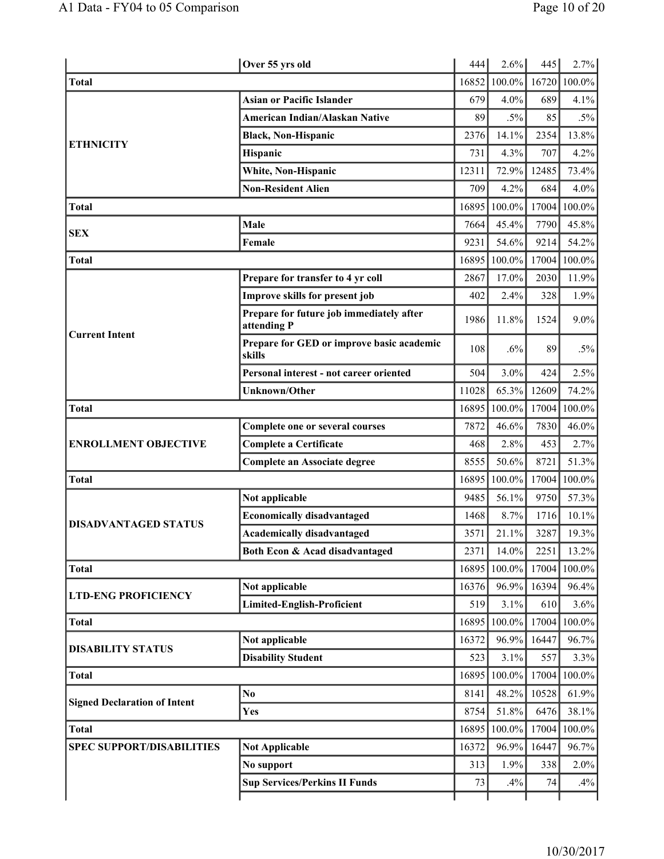|                                     | Over 55 yrs old                                         | 444   | 2.6%      | 445   | 2.7%   |
|-------------------------------------|---------------------------------------------------------|-------|-----------|-------|--------|
| <b>Total</b>                        |                                                         | 16852 | 100.0%    | 16720 | 100.0% |
|                                     | <b>Asian or Pacific Islander</b>                        | 679   | 4.0%      | 689   | 4.1%   |
|                                     | American Indian/Alaskan Native                          | 89    | $.5\%$    | 85    | $.5\%$ |
|                                     | <b>Black, Non-Hispanic</b>                              | 2376  | 14.1%     | 2354  | 13.8%  |
| <b>ETHNICITY</b>                    | Hispanic                                                | 731   | 4.3%      | 707   | 4.2%   |
|                                     | White, Non-Hispanic                                     | 12311 | 72.9%     | 12485 | 73.4%  |
|                                     | <b>Non-Resident Alien</b>                               | 709   | 4.2%      | 684   | 4.0%   |
| <b>Total</b>                        |                                                         | 16895 | 100.0%    | 17004 | 100.0% |
| <b>SEX</b>                          | Male                                                    | 7664  | 45.4%     | 7790  | 45.8%  |
|                                     | Female                                                  | 9231  | 54.6%     | 9214  | 54.2%  |
| <b>Total</b>                        |                                                         | 16895 | 100.0%    | 17004 | 100.0% |
|                                     | Prepare for transfer to 4 yr coll                       | 2867  | 17.0%     | 2030  | 11.9%  |
|                                     | Improve skills for present job                          | 402   | 2.4%      | 328   | 1.9%   |
| <b>Current Intent</b>               | Prepare for future job immediately after<br>attending P | 1986  | 11.8%     | 1524  | 9.0%   |
|                                     | Prepare for GED or improve basic academic<br>skills     | 108   | .6%       | 89    | $.5\%$ |
|                                     | Personal interest - not career oriented                 | 504   | 3.0%      | 424   | 2.5%   |
|                                     | <b>Unknown/Other</b>                                    | 11028 | 65.3%     | 12609 | 74.2%  |
| <b>Total</b>                        |                                                         | 16895 | 100.0%    | 17004 | 100.0% |
|                                     | Complete one or several courses                         | 7872  | 46.6%     | 7830  | 46.0%  |
| <b>ENROLLMENT OBJECTIVE</b>         | <b>Complete a Certificate</b>                           | 468   | 2.8%      | 453   | 2.7%   |
|                                     | Complete an Associate degree                            | 8555  | 50.6%     | 8721  | 51.3%  |
| <b>Total</b>                        |                                                         | 16895 | $100.0\%$ | 17004 | 100.0% |
|                                     | Not applicable                                          | 9485  | 56.1%     | 9750  | 57.3%  |
| <b>DISADVANTAGED STATUS</b>         | <b>Economically disadvantaged</b>                       | 1468  | 8.7%      | 1716  | 10.1%  |
|                                     | <b>Academically disadvantaged</b>                       | 3571  | 21.1%     | 3287  | 19.3%  |
|                                     | Both Econ & Acad disadvantaged                          | 2371  | 14.0%     | 2251  | 13.2%  |
| <b>Total</b>                        |                                                         | 16895 | 100.0%    | 17004 | 100.0% |
| <b>LTD-ENG PROFICIENCY</b>          | Not applicable                                          | 16376 | 96.9%     | 16394 | 96.4%  |
|                                     | <b>Limited-English-Proficient</b>                       | 519   | 3.1%      | 610   | 3.6%   |
| <b>Total</b>                        |                                                         | 16895 | $100.0\%$ | 17004 | 100.0% |
| <b>DISABILITY STATUS</b>            | Not applicable                                          | 16372 | 96.9%     | 16447 | 96.7%  |
|                                     | <b>Disability Student</b>                               | 523   | 3.1%      | 557   | 3.3%   |
| <b>Total</b>                        |                                                         | 16895 | $100.0\%$ | 17004 | 100.0% |
| <b>Signed Declaration of Intent</b> | No.                                                     | 8141  | 48.2%     | 10528 | 61.9%  |
|                                     | Yes                                                     | 8754  | 51.8%     | 6476  | 38.1%  |
| <b>Total</b>                        |                                                         | 16895 | 100.0%    | 17004 | 100.0% |
| <b>SPEC SUPPORT/DISABILITIES</b>    | <b>Not Applicable</b>                                   | 16372 | 96.9%     | 16447 | 96.7%  |
|                                     | No support                                              | 313   | 1.9%      | 338   | 2.0%   |
|                                     | <b>Sup Services/Perkins II Funds</b>                    | 73    | .4%       | 74    | .4%    |
|                                     |                                                         |       |           |       |        |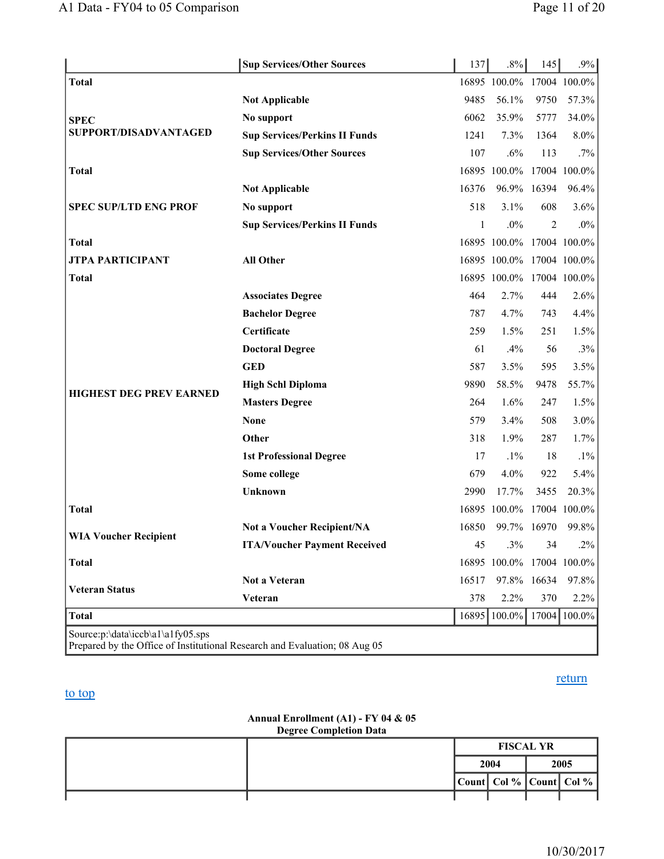|                                   | <b>Sup Services/Other Sources</b>    | 137   | $.8\%$                    | 145  | $.9\%$       |
|-----------------------------------|--------------------------------------|-------|---------------------------|------|--------------|
| <b>Total</b>                      |                                      |       | 16895 100.0%              |      | 17004 100.0% |
|                                   | <b>Not Applicable</b>                | 9485  | 56.1%                     | 9750 | 57.3%        |
| <b>SPEC</b>                       | No support                           | 6062  | 35.9%                     | 5777 | 34.0%        |
| SUPPORT/DISADVANTAGED             | <b>Sup Services/Perkins II Funds</b> | 1241  | 7.3%                      | 1364 | 8.0%         |
|                                   | <b>Sup Services/Other Sources</b>    | 107   | .6%                       | 113  | $.7\%$       |
| <b>Total</b>                      |                                      |       | 16895 100.0% 17004 100.0% |      |              |
|                                   | <b>Not Applicable</b>                | 16376 | 96.9% 16394               |      | 96.4%        |
| <b>SPEC SUP/LTD ENG PROF</b>      | No support                           | 518   | 3.1%                      | 608  | 3.6%         |
|                                   | <b>Sup Services/Perkins II Funds</b> | 1     | .0%                       | 2    | $.0\%$       |
| <b>Total</b>                      |                                      |       | 16895 100.0% 17004 100.0% |      |              |
| <b>JTPA PARTICIPANT</b>           | <b>All Other</b>                     |       | 16895 100.0% 17004 100.0% |      |              |
| <b>Total</b>                      |                                      |       | 16895 100.0% 17004 100.0% |      |              |
|                                   | <b>Associates Degree</b>             | 464   | 2.7%                      | 444  | 2.6%         |
|                                   | <b>Bachelor Degree</b>               | 787   | 4.7%                      | 743  | 4.4%         |
|                                   | Certificate                          | 259   | 1.5%                      | 251  | 1.5%         |
|                                   | <b>Doctoral Degree</b>               | 61    | .4%                       | 56   | $.3\%$       |
|                                   | <b>GED</b>                           | 587   | 3.5%                      | 595  | 3.5%         |
| <b>HIGHEST DEG PREV EARNED</b>    | <b>High Schl Diploma</b>             | 9890  | 58.5%                     | 9478 | 55.7%        |
|                                   | <b>Masters Degree</b>                | 264   | 1.6%                      | 247  | 1.5%         |
|                                   | <b>None</b>                          | 579   | 3.4%                      | 508  | $3.0\%$      |
|                                   | Other                                | 318   | 1.9%                      | 287  | 1.7%         |
|                                   | <b>1st Professional Degree</b>       | 17    | $.1\%$                    | 18   | $.1\%$       |
|                                   | Some college                         | 679   | 4.0%                      | 922  | 5.4%         |
|                                   | <b>Unknown</b>                       | 2990  | 17.7%                     | 3455 | 20.3%        |
| <b>Total</b>                      |                                      |       | 16895 100.0% 17004 100.0% |      |              |
|                                   | <b>Not a Voucher Recipient/NA</b>    | 16850 | 99.7% 16970               |      | 99.8%        |
| <b>WIA Voucher Recipient</b>      | <b>ITA/Voucher Payment Received</b>  | 45    | .3%                       | 34   | $.2\%$       |
| <b>Total</b>                      |                                      |       | 16895 100.0% 17004 100.0% |      |              |
|                                   | Not a Veteran                        | 16517 | 97.8% 16634               |      | 97.8%        |
| <b>Veteran Status</b>             | Veteran                              | 378   | 2.2%                      | 370  | 2.2%         |
| Total                             |                                      | 16895 | 100.0% 17004 100.0%       |      |              |
| Source:p:\data\iccb\a1\a1fy05.sps |                                      |       |                           |      |              |

Prepared by the Office of Institutional Research and Evaluation; 08 Aug 05

#### to top

### return

#### **Annual Enrollment (A1) - FY 04 & 05 Degree Completion Data**

| ------------- |  |  |                  |                         |      |  |  |
|---------------|--|--|------------------|-------------------------|------|--|--|
|               |  |  | <b>FISCAL YR</b> |                         |      |  |  |
|               |  |  | 2004             |                         | 2005 |  |  |
|               |  |  |                  | Count Col % Count Col % |      |  |  |
|               |  |  |                  |                         |      |  |  |

10/30/2017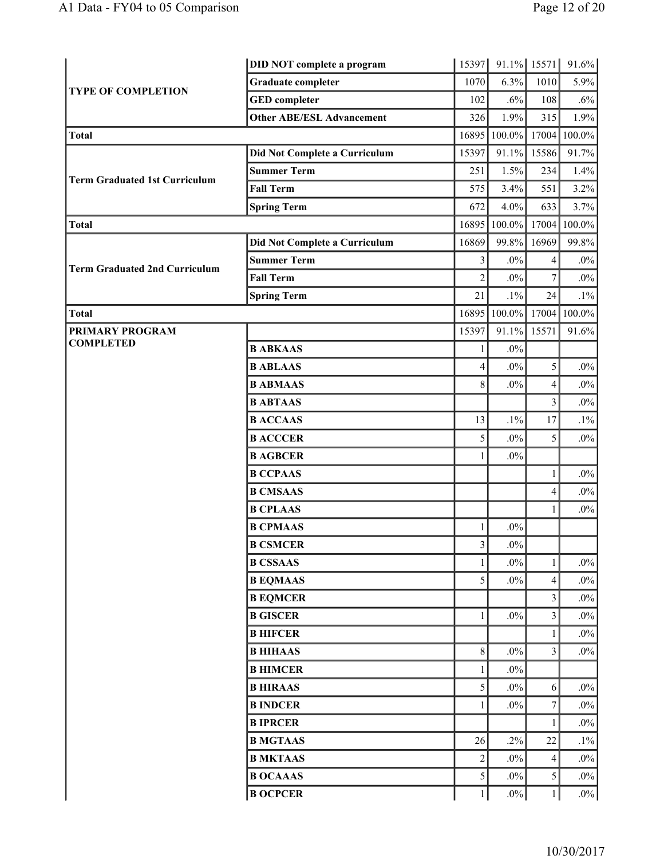|                                      | <b>DID NOT complete a program</b> | 15397                   | 91.1% 15571 |                          | 91.6%     |
|--------------------------------------|-----------------------------------|-------------------------|-------------|--------------------------|-----------|
| <b>TYPE OF COMPLETION</b>            | <b>Graduate completer</b>         | 1070                    | 6.3%        | 1010                     | 5.9%      |
|                                      | <b>GED</b> completer              | 102                     | $.6\%$      | 108                      | $.6\%$    |
|                                      | <b>Other ABE/ESL Advancement</b>  | 326                     | 1.9%        | 315                      | 1.9%      |
| Total                                |                                   | 16895                   | 100.0%      | 17004                    | 100.0%    |
|                                      | Did Not Complete a Curriculum     | 15397                   | 91.1%       | 15586                    | 91.7%     |
| <b>Term Graduated 1st Curriculum</b> | <b>Summer Term</b>                | 251                     | 1.5%        | 234                      | 1.4%      |
|                                      | <b>Fall Term</b>                  | 575                     | 3.4%        | 551                      | 3.2%      |
|                                      | <b>Spring Term</b>                | 672                     | 4.0%        | 633                      | 3.7%      |
| Total                                |                                   | 16895                   | 100.0%      | 17004                    | $100.0\%$ |
|                                      | Did Not Complete a Curriculum     | 16869                   | 99.8%       | 16969                    | 99.8%     |
| <b>Term Graduated 2nd Curriculum</b> | <b>Summer Term</b>                | 3                       | $.0\%$      | 4                        | $.0\%$    |
|                                      | <b>Fall Term</b>                  | $\overline{c}$          | $.0\%$      | $\overline{7}$           | $.0\%$    |
|                                      | <b>Spring Term</b>                | 21                      | $.1\%$      | 24                       | $.1\%$    |
| Total                                |                                   | 16895                   | $100.0\%$   | 17004                    | 100.0%    |
| <b>PRIMARY PROGRAM</b>               |                                   | 15397                   | 91.1%       | 15571                    | 91.6%     |
| <b>COMPLETED</b>                     | <b>B ABKAAS</b>                   | 1                       | $.0\%$      |                          |           |
|                                      | <b>B ABLAAS</b>                   | 4                       | $.0\%$      | 5                        | $.0\%$    |
|                                      | <b>B ABMAAS</b>                   | 8                       | $.0\%$      | 4                        | $.0\%$    |
|                                      | <b>B ABTAAS</b>                   |                         |             | $\overline{\mathbf{3}}$  | $.0\%$    |
|                                      | <b>BACCAAS</b>                    | 13                      | $.1\%$      | 17                       | $.1\%$    |
|                                      | <b>B ACCCER</b>                   | 5                       | $.0\%$      | 5                        | $.0\%$    |
|                                      | <b>B AGBCER</b>                   | 1                       | $.0\%$      |                          |           |
|                                      | <b>B CCPAAS</b>                   |                         |             | $\mathbf{1}$             | $.0\%$    |
|                                      | <b>B CMSAAS</b>                   |                         |             | 4                        | $.0\%$    |
|                                      | <b>B CPLAAS</b>                   |                         |             | 1                        | $.0\%$    |
|                                      | <b>B CPMAAS</b>                   | 1                       | $.0\%$      |                          |           |
|                                      | <b>B CSMCER</b>                   | $\overline{\mathbf{3}}$ | $.0\%$      |                          |           |
|                                      | <b>B CSSAAS</b>                   | 1                       | $.0\%$      | 1                        | $.0\%$    |
|                                      | <b>B EQMAAS</b>                   | 5                       | $.0\%$      | 4                        | $.0\%$    |
|                                      | <b>B EQMCER</b>                   |                         |             | 3                        | $.0\%$    |
|                                      | <b>B GISCER</b>                   | 1                       | $.0\%$      | 3                        | $.0\%$    |
|                                      | <b>B HIFCER</b>                   |                         |             | 1                        | $.0\%$    |
|                                      | <b>B HIHAAS</b>                   | 8                       | $.0\%$      | 3                        | $.0\%$    |
|                                      | <b>B HIMCER</b>                   | 1                       | $.0\%$      |                          |           |
|                                      | <b>B HIRAAS</b>                   | 5                       | $.0\%$      | 6                        | $.0\%$    |
|                                      | <b>B INDCER</b>                   | $\mathbf{1}$            | $.0\%$      | $\boldsymbol{7}$         | $.0\%$    |
|                                      | <b>BIPRCER</b>                    |                         |             | 1                        | $.0\%$    |
|                                      | <b>B MGTAAS</b>                   | 26                      | $.2\%$      | 22                       | $.1\%$    |
|                                      | <b>B MKTAAS</b>                   | $\overline{c}$          | $.0\%$      | $\overline{\mathcal{L}}$ | $.0\%$    |
|                                      | <b>B OCAAAS</b>                   | 5                       | $.0\%$      | 5                        | $.0\%$    |
|                                      | <b>B OCPCER</b>                   | $\mathbf{1}$            | $.0\%$      | $\mathbf{1}$             | $.0\%$    |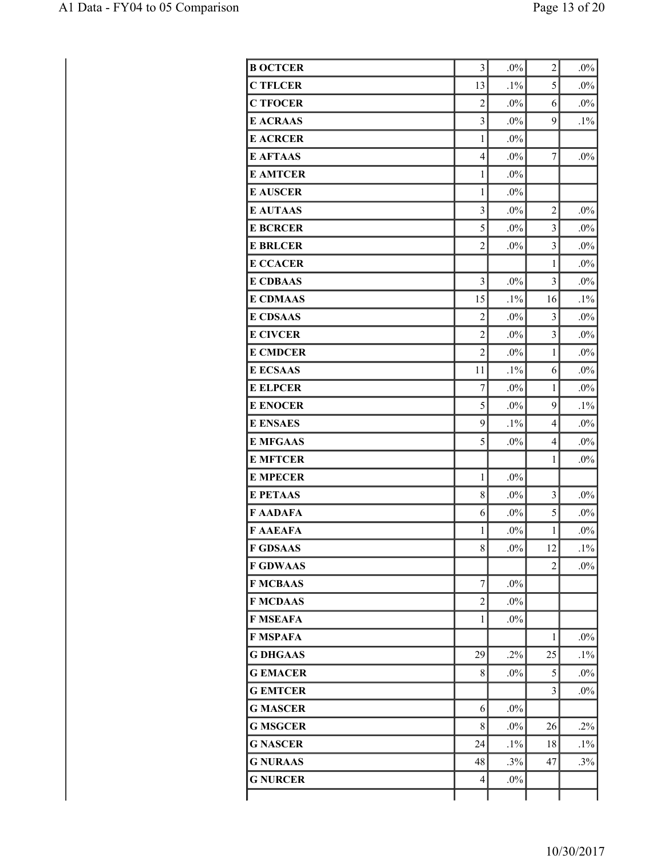| <b>B OCTCER</b> | 3                       | $.0\%$ | $\overline{c}$          | $.0\%$ |
|-----------------|-------------------------|--------|-------------------------|--------|
| <b>C TFLCER</b> | 13                      | $.1\%$ | 5                       | $.0\%$ |
| <b>C TFOCER</b> | $\overline{c}$          | $.0\%$ | 6                       | $.0\%$ |
| <b>E ACRAAS</b> | $\overline{3}$          | $.0\%$ | 9                       | $.1\%$ |
| <b>E ACRCER</b> | $\mathbf{1}$            | $.0\%$ |                         |        |
| <b>E AFTAAS</b> | $\overline{4}$          | $.0\%$ | $\overline{7}$          | $.0\%$ |
| <b>E AMTCER</b> | 1                       | $.0\%$ |                         |        |
| <b>E AUSCER</b> | $\mathbf{1}$            | $.0\%$ |                         |        |
| <b>E AUTAAS</b> | $\overline{\mathbf{3}}$ | $.0\%$ | $\overline{c}$          | $.0\%$ |
| <b>E BCRCER</b> | 5                       | $.0\%$ | $\overline{3}$          | $.0\%$ |
| <b>E BRLCER</b> | $\overline{c}$          | $.0\%$ | 3                       | $.0\%$ |
| <b>E CCACER</b> |                         |        | $\mathbf{1}$            | $.0\%$ |
| <b>E CDBAAS</b> | $\overline{3}$          | .0%    | 3                       | $.0\%$ |
| <b>E CDMAAS</b> | 15                      | $.1\%$ | 16                      | $.1\%$ |
| <b>E CDSAAS</b> | $\overline{c}$          | $.0\%$ | $\overline{3}$          | $.0\%$ |
| <b>E CIVCER</b> | $\overline{2}$          | $.0\%$ | $\overline{\mathbf{3}}$ | $.0\%$ |
| <b>E CMDCER</b> | $\overline{c}$          | $.0\%$ | $\mathbf{1}$            | $.0\%$ |
| <b>E ECSAAS</b> | 11                      | $.1\%$ | 6                       | $.0\%$ |
| <b>E ELPCER</b> | $\overline{7}$          | $.0\%$ | $\mathbf{1}$            | $.0\%$ |
| <b>E ENOCER</b> | 5                       | $.0\%$ | 9                       | $.1\%$ |
| <b>E ENSAES</b> | 9                       | $.1\%$ | $\overline{4}$          | $.0\%$ |
| <b>E MFGAAS</b> | 5                       | $.0\%$ | $\overline{4}$          | $.0\%$ |
| <b>E MFTCER</b> |                         |        | $\mathbf{1}$            | $.0\%$ |
| <b>E MPECER</b> | $\mathbf{1}$            | $.0\%$ |                         |        |
| <b>E PETAAS</b> | 8                       | $.0\%$ | $\overline{3}$          | $.0\%$ |
| <b>F AADAFA</b> | 6                       | $.0\%$ | 5                       | $.0\%$ |
| <b>F AAEAFA</b> | $\,1$                   | $.0\%$ | $\mathbf{1}$            | $.0\%$ |
| <b>F GDSAAS</b> | 8                       | $.0\%$ | 12                      | $.1\%$ |
| <b>F GDWAAS</b> |                         |        | $\overline{c}$          | $.0\%$ |
| <b>F MCBAAS</b> | $\overline{7}$          | $.0\%$ |                         |        |
| <b>F MCDAAS</b> | $\overline{2}$          | $.0\%$ |                         |        |
| <b>F MSEAFA</b> | 1                       | $.0\%$ |                         |        |
| F MSPAFA        |                         |        | 1                       | $.0\%$ |
| <b>G DHGAAS</b> | 29                      | .2%    | 25                      | $.1\%$ |
| <b>GEMACER</b>  | 8                       | $.0\%$ | 5                       | $.0\%$ |
| <b>GEMTCER</b>  |                         |        | 3                       | $.0\%$ |
| <b>G MASCER</b> | 6                       | $.0\%$ |                         |        |
| <b>G MSGCER</b> | 8                       | $.0\%$ | 26                      | $.2\%$ |
| <b>G NASCER</b> | 24                      | $.1\%$ | 18                      | $.1\%$ |
| <b>G NURAAS</b> | 48                      | .3%    | 47                      | $.3\%$ |
| <b>G NURCER</b> | 4                       | $.0\%$ |                         |        |
|                 |                         |        |                         |        |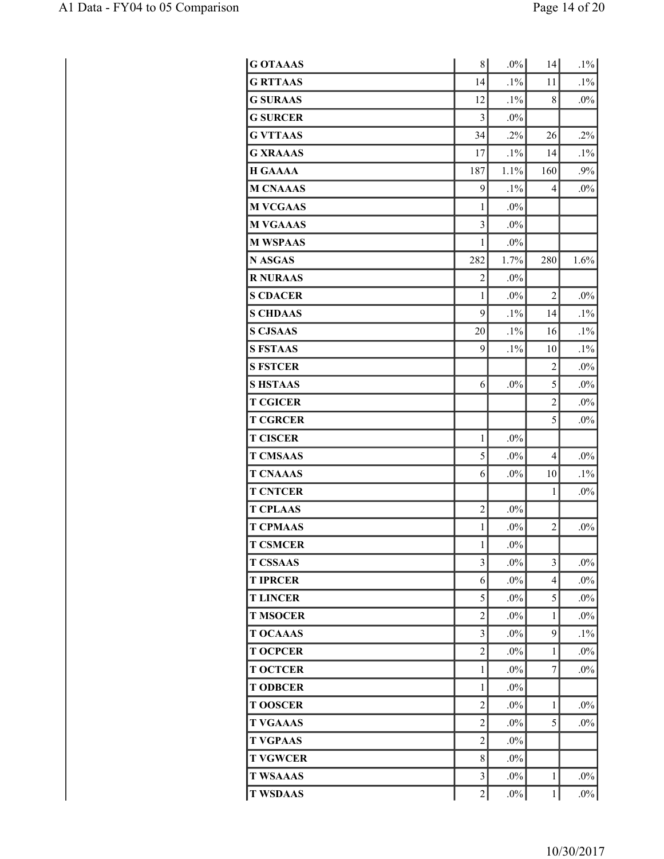| <b>G OTAAAS</b> | 8                       | $.0\%$ | 14                       | $.1\%$ |
|-----------------|-------------------------|--------|--------------------------|--------|
| <b>G RTTAAS</b> | 14                      | $.1\%$ | 11                       | $.1\%$ |
| <b>G SURAAS</b> | 12                      | $.1\%$ | 8                        | $.0\%$ |
| <b>G SURCER</b> | 3                       | $.0\%$ |                          |        |
| <b>G VTTAAS</b> | 34                      | $.2\%$ | 26                       | $.2\%$ |
| <b>G XRAAAS</b> | 17                      | $.1\%$ | 14                       | $.1\%$ |
| <b>H GAAAA</b>  | 187                     | 1.1%   | 160                      | $.9\%$ |
| <b>M CNAAAS</b> | 9                       | $.1\%$ | $\overline{\mathcal{L}}$ | $.0\%$ |
| <b>M VCGAAS</b> | 1                       | $.0\%$ |                          |        |
| <b>M VGAAAS</b> | $\overline{\mathbf{3}}$ | $.0\%$ |                          |        |
| <b>M WSPAAS</b> | 1                       | $.0\%$ |                          |        |
| N ASGAS         | 282                     | 1.7%   | 280                      | 1.6%   |
| <b>R NURAAS</b> | $\overline{c}$          | $.0\%$ |                          |        |
| <b>S CDACER</b> | 1                       | $.0\%$ | $\overline{c}$           | $.0\%$ |
| <b>S CHDAAS</b> | 9                       | $.1\%$ | 14                       | $.1\%$ |
| <b>S CJSAAS</b> | 20                      | $.1\%$ | 16                       | $.1\%$ |
| <b>S FSTAAS</b> | 9                       | $.1\%$ | 10                       | $.1\%$ |
| <b>S FSTCER</b> |                         |        | $\overline{2}$           | $.0\%$ |
| <b>SHSTAAS</b>  | 6                       | $.0\%$ | 5                        | $.0\%$ |
| <b>T CGICER</b> |                         |        | $\overline{c}$           | $.0\%$ |
| <b>T CGRCER</b> |                         |        | 5                        | $.0\%$ |
| <b>T CISCER</b> | $\mathbf{1}$            | $.0\%$ |                          |        |
| <b>T CMSAAS</b> | 5                       | $.0\%$ | $\overline{\mathcal{L}}$ | $.0\%$ |
| <b>T CNAAAS</b> | 6                       | $.0\%$ | 10                       | $.1\%$ |
| <b>T CNTCER</b> |                         |        | 1                        | $.0\%$ |
| <b>T CPLAAS</b> | $\overline{c}$          | $.0\%$ |                          |        |
| <b>T CPMAAS</b> | $\mathbf{1}$            | $.0\%$ | $\overline{c}$           | $.0\%$ |
| <b>T CSMCER</b> | 1                       | $.0\%$ |                          |        |
| <b>T CSSAAS</b> | $\overline{\mathbf{3}}$ | $.0\%$ | $\overline{\mathbf{3}}$  | $.0\%$ |
| <b>T IPRCER</b> | 6                       | $.0\%$ | 4                        | $.0\%$ |
| <b>TLINCER</b>  | 5                       | $.0\%$ | 5                        | $.0\%$ |
| <b>T MSOCER</b> | $\overline{c}$          | $.0\%$ | 1                        | $.0\%$ |
| <b>T OCAAAS</b> | $\overline{\mathbf{3}}$ | $.0\%$ | 9                        | $.1\%$ |
| <b>T OCPCER</b> | $\overline{2}$          | $.0\%$ | 1                        | $.0\%$ |
| <b>T OCTCER</b> | 1                       | $.0\%$ | $\tau$                   | $.0\%$ |
| <b>T ODBCER</b> | 1                       | $.0\%$ |                          |        |
| <b>TOOSCER</b>  | $\overline{c}$          | $.0\%$ | 1                        | $.0\%$ |
| <b>T VGAAAS</b> | $\overline{c}$          | $.0\%$ | 5                        | $.0\%$ |
| <b>T VGPAAS</b> | $\overline{c}$          | $.0\%$ |                          |        |
| <b>T VGWCER</b> | 8                       | $.0\%$ |                          |        |
| <b>T WSAAAS</b> | $\overline{\mathbf{3}}$ | $.0\%$ | 1                        | $.0\%$ |
| <b>T WSDAAS</b> | $\overline{c}$          | $.0\%$ | $\mathbf{1}$             | $.0\%$ |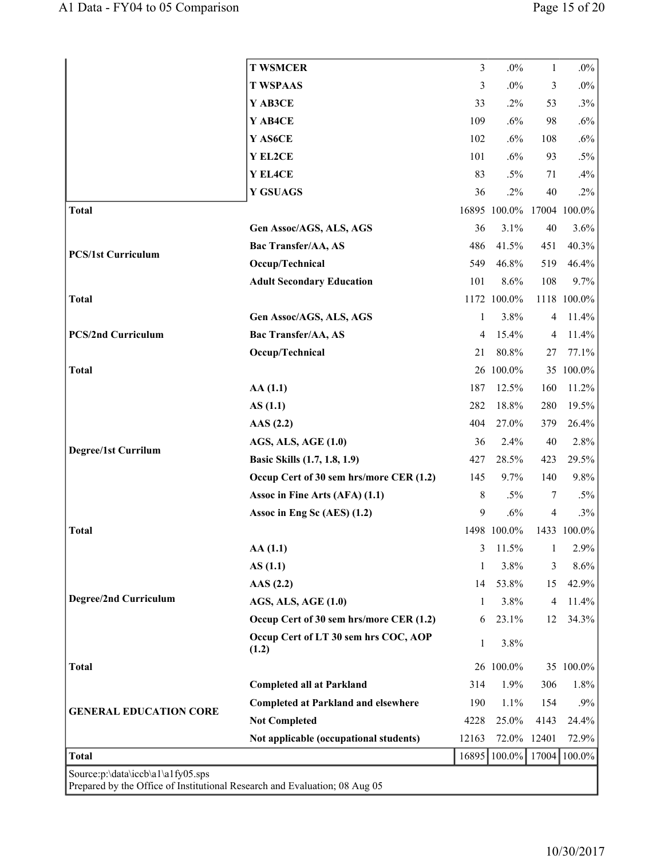|                                                                                                                 | <b>T WSMCER</b>                               | $\mathfrak{Z}$ | $.0\%$                    | $\mathbf{1}$             | $.0\%$      |
|-----------------------------------------------------------------------------------------------------------------|-----------------------------------------------|----------------|---------------------------|--------------------------|-------------|
|                                                                                                                 | <b>T WSPAAS</b>                               | 3              | $.0\%$                    | 3                        | $.0\%$      |
|                                                                                                                 | Y AB3CE                                       | 33             | .2%                       | 53                       | $.3\%$      |
|                                                                                                                 | Y AB4CE                                       | 109            | .6%                       | 98                       | $.6\%$      |
|                                                                                                                 | Y AS6CE                                       | 102            | .6%                       | 108                      | $.6\%$      |
|                                                                                                                 | Y EL2CE                                       | 101            | .6%                       | 93                       | $.5\%$      |
|                                                                                                                 | Y EL4CE                                       | 83             | $.5\%$                    | 71                       | .4%         |
|                                                                                                                 | <b>Y GSUAGS</b>                               | 36             | $.2\%$                    | 40                       | $.2\%$      |
| <b>Total</b>                                                                                                    |                                               |                | 16895 100.0% 17004 100.0% |                          |             |
|                                                                                                                 | Gen Assoc/AGS, ALS, AGS                       | 36             | 3.1%                      | 40                       | 3.6%        |
| <b>PCS/1st Curriculum</b>                                                                                       | Bac Transfer/AA, AS                           | 486            | 41.5%                     | 451                      | 40.3%       |
|                                                                                                                 | Occup/Technical                               | 549            | 46.8%                     | 519                      | 46.4%       |
|                                                                                                                 | <b>Adult Secondary Education</b>              | 101            | 8.6%                      | 108                      | 9.7%        |
| <b>Total</b>                                                                                                    |                                               |                | 1172 100.0%               |                          | 1118 100.0% |
|                                                                                                                 | Gen Assoc/AGS, ALS, AGS                       | 1              | 3.8%                      | $\overline{4}$           | 11.4%       |
| <b>PCS/2nd Curriculum</b>                                                                                       | <b>Bac Transfer/AA, AS</b>                    | 4              | 15.4%                     | $\overline{4}$           | 11.4%       |
|                                                                                                                 | Occup/Technical                               | 21             | 80.8%                     | 27                       | 77.1%       |
| <b>Total</b>                                                                                                    |                                               |                | 26 100.0%                 |                          | 35 100.0%   |
|                                                                                                                 | AA(1.1)                                       | 187            | 12.5%                     | 160                      | 11.2%       |
|                                                                                                                 | AS(1.1)                                       | 282            | 18.8%                     | 280                      | 19.5%       |
|                                                                                                                 | AAS $(2.2)$                                   | 404            | 27.0%                     | 379                      | 26.4%       |
| Degree/1st Currilum                                                                                             | <b>AGS, ALS, AGE (1.0)</b>                    | 36             | 2.4%                      | 40                       | 2.8%        |
|                                                                                                                 | Basic Skills (1.7, 1.8, 1.9)                  | 427            | 28.5%                     | 423                      | 29.5%       |
|                                                                                                                 | Occup Cert of 30 sem hrs/more CER (1.2)       | 145            | 9.7%                      | 140                      | 9.8%        |
|                                                                                                                 | Assoc in Fine Arts (AFA) (1.1)                | $8\,$          | $.5\%$                    | 7                        | $.5\%$      |
|                                                                                                                 | Assoc in Eng Sc (AES) (1.2)                   | 9              | .6%                       | $\overline{\mathcal{A}}$ | $.3\%$      |
| <b>Total</b>                                                                                                    |                                               |                | 1498 100.0%               |                          | 1433 100.0% |
|                                                                                                                 | AA(1.1)                                       | 3              | 11.5%                     | 1                        | 2.9%        |
|                                                                                                                 | AS(1.1)                                       | 1              | 3.8%                      | 3                        | 8.6%        |
|                                                                                                                 | $\text{AAS}$ (2.2)                            | 14             | 53.8%                     | 15                       | 42.9%       |
| Degree/2nd Curriculum                                                                                           | <b>AGS, ALS, AGE (1.0)</b>                    | 1              | 3.8%                      | $\overline{4}$           | 11.4%       |
|                                                                                                                 | Occup Cert of 30 sem hrs/more CER (1.2)       | 6              | 23.1%                     | 12                       | 34.3%       |
|                                                                                                                 | Occup Cert of LT 30 sem hrs COC, AOP<br>(1.2) | 1              | 3.8%                      |                          |             |
| Total                                                                                                           |                                               |                | 26 100.0%                 |                          | 35 100.0%   |
|                                                                                                                 | <b>Completed all at Parkland</b>              | 314            | 1.9%                      | 306                      | 1.8%        |
| <b>GENERAL EDUCATION CORE</b>                                                                                   | <b>Completed at Parkland and elsewhere</b>    | 190            | 1.1%                      | 154                      | $.9\%$      |
|                                                                                                                 | <b>Not Completed</b>                          | 4228           | 25.0%                     | 4143                     | 24.4%       |
|                                                                                                                 | Not applicable (occupational students)        | 12163          | 72.0% 12401               |                          | 72.9%       |
| Total                                                                                                           |                                               | 16895          | $100.0\%$                 | 17004                    | 100.0%      |
| Source:p:\data\iccb\a1\a1fy05.sps<br>Prepared by the Office of Institutional Research and Evaluation; 08 Aug 05 |                                               |                |                           |                          |             |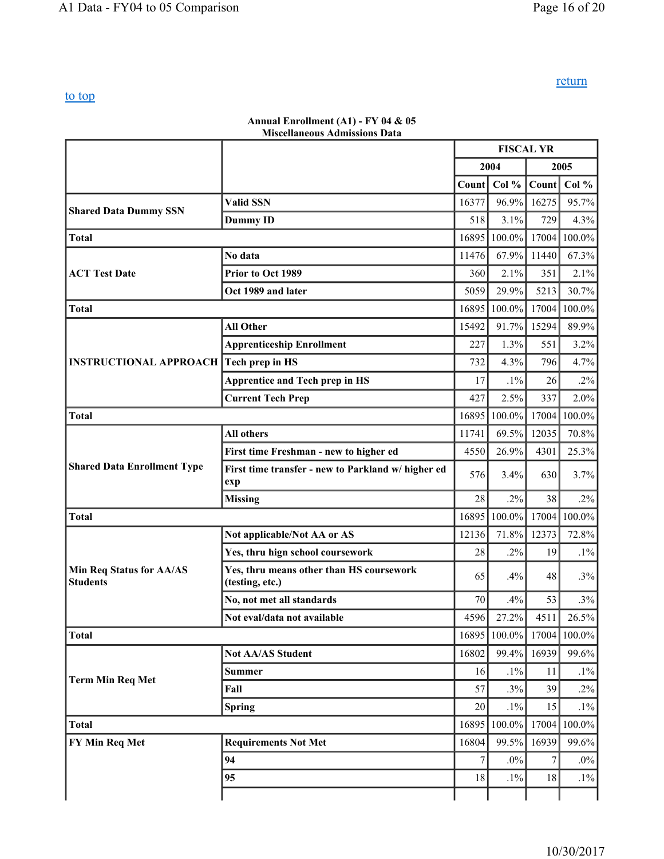return

## to top

#### **Annual Enrollment (A1) - FY 04 & 05 Miscellaneous Admissions Data**

|                                             |                                                             | <b>FISCAL YR</b> |           |                |        |
|---------------------------------------------|-------------------------------------------------------------|------------------|-----------|----------------|--------|
|                                             |                                                             |                  | 2004      |                | 2005   |
|                                             |                                                             | Count            | Col %     | Count          | Col %  |
|                                             | <b>Valid SSN</b>                                            | 16377            | 96.9%     | 16275          | 95.7%  |
| <b>Shared Data Dummy SSN</b>                | <b>Dummy ID</b>                                             | 518              | 3.1%      | 729            | 4.3%   |
| <b>Total</b>                                |                                                             | 16895            | 100.0%    | 17004          | 100.0% |
|                                             | No data                                                     | 11476            | 67.9%     | 11440          | 67.3%  |
| <b>ACT Test Date</b>                        | Prior to Oct 1989                                           | 360              | 2.1%      | 351            | 2.1%   |
|                                             | Oct 1989 and later                                          | 5059             | 29.9%     | 5213           | 30.7%  |
| <b>Total</b>                                |                                                             | 16895            | $100.0\%$ | 17004          | 100.0% |
|                                             | <b>All Other</b>                                            | 15492            | 91.7%     | 15294          | 89.9%  |
|                                             | <b>Apprenticeship Enrollment</b>                            | 227              | 1.3%      | 551            | 3.2%   |
| <b>INSTRUCTIONAL APPROACH</b>               | Tech prep in HS                                             | 732              | 4.3%      | 796            | 4.7%   |
|                                             | <b>Apprentice and Tech prep in HS</b>                       | 17               | $.1\%$    | 26             | $.2\%$ |
|                                             | <b>Current Tech Prep</b>                                    | 427              | 2.5%      | 337            | 2.0%   |
| <b>Total</b>                                |                                                             | 16895            | 100.0%    | 17004          | 100.0% |
|                                             | All others                                                  | 11741            | 69.5%     | 12035          | 70.8%  |
|                                             | First time Freshman - new to higher ed                      | 4550             | 26.9%     | 4301           | 25.3%  |
| <b>Shared Data Enrollment Type</b>          | First time transfer - new to Parkland w/ higher ed<br>exp   | 576              | 3.4%      | 630            | 3.7%   |
|                                             | <b>Missing</b>                                              | 28               | $.2\%$    | 38             | $.2\%$ |
| <b>Total</b>                                |                                                             | 16895            | 100.0%    | 17004          | 100.0% |
|                                             | Not applicable/Not AA or AS                                 | 12136            | 71.8%     | 12373          | 72.8%  |
|                                             | Yes, thru hign school coursework                            | 28               | .2%       | 19             | $.1\%$ |
| Min Req Status for AA/AS<br><b>Students</b> | Yes, thru means other than HS coursework<br>(testing, etc.) | 65               | .4%       | 48             | .3%    |
|                                             | No, not met all standards                                   | 70               | .4%       | 53             | .3%    |
|                                             | Not eval/data not available                                 | 4596             | 27.2%     | 4511           | 26.5%  |
| <b>Total</b>                                |                                                             | 16895            | $100.0\%$ | 17004          | 100.0% |
|                                             | <b>Not AA/AS Student</b>                                    | 16802            | 99.4%     | 16939          | 99.6%  |
| <b>Term Min Req Met</b>                     | <b>Summer</b>                                               | 16               | $.1\%$    | 11             | $.1\%$ |
|                                             | Fall                                                        | 57               | .3%       | 39             | $.2\%$ |
|                                             | <b>Spring</b>                                               | 20               | $.1\%$    | 15             | $.1\%$ |
| <b>Total</b>                                |                                                             | 16895            | 100.0%    | 17004          | 100.0% |
| FY Min Req Met                              | <b>Requirements Not Met</b>                                 | 16804            | 99.5%     | 16939          | 99.6%  |
|                                             | 94                                                          | $\sqrt{ }$       | $.0\%$    | $\overline{7}$ | $.0\%$ |
|                                             | 95                                                          | 18               | $.1\%$    | 18             | $.1\%$ |
|                                             |                                                             |                  |           |                |        |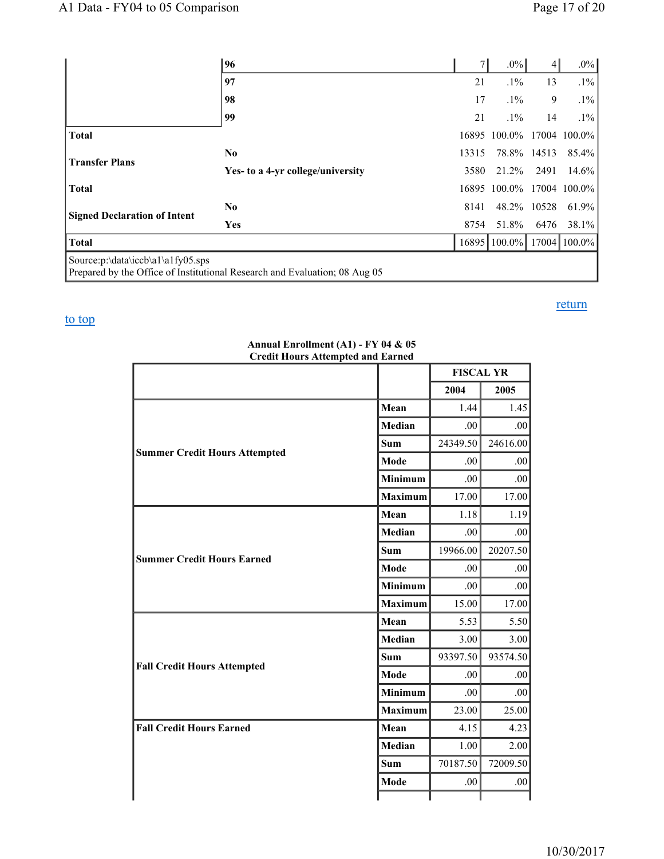|                                     | 96                                                                         |       | $.0\%$                    | $\vert$     | $.0\%$       |
|-------------------------------------|----------------------------------------------------------------------------|-------|---------------------------|-------------|--------------|
|                                     | 97                                                                         | 21    | $.1\%$                    | 13          | $.1\%$       |
|                                     | 98                                                                         | 17    | $.1\%$                    | 9           | $.1\%$       |
|                                     | 99                                                                         | 21    | $.1\%$                    | 14          | $.1\%$       |
| <b>Total</b>                        |                                                                            |       | 16895 100.0% 17004 100.0% |             |              |
|                                     | No.                                                                        | 13315 |                           | 78.8% 14513 | 85.4%        |
| <b>Transfer Plans</b>               | Yes- to a 4-yr college/university                                          | 3580  | 21.2%                     | 2491        | 14.6%        |
| <b>Total</b>                        |                                                                            |       | 16895 100.0%              |             | 17004 100.0% |
|                                     | N <sub>0</sub>                                                             | 8141  |                           | 48.2% 10528 | 61.9%        |
| <b>Signed Declaration of Intent</b> | <b>Yes</b>                                                                 | 8754  | 51.8%                     | 6476        | 38.1%        |
| <b>Total</b>                        |                                                                            |       | 16895 100.0%              |             | 17004 100.0% |
| Source:p:\data\iccb\a1\a1fy05.sps   | Prepared by the Office of Institutional Research and Evaluation; 08 Aug 05 |       |                           |             |              |

## to top

| Crean Hours Attempted and Earned     |                | <b>FISCAL YR</b> |                  |  |
|--------------------------------------|----------------|------------------|------------------|--|
|                                      |                | 2004             | 2005             |  |
|                                      | Mean           | 1.44             | 1.45             |  |
|                                      | <b>Median</b>  | .00.             | .00 <sub>1</sub> |  |
| <b>Summer Credit Hours Attempted</b> | <b>Sum</b>     | 24349.50         | 24616.00         |  |
|                                      | Mode           | .00              | .00              |  |
|                                      | <b>Minimum</b> | .00              | .00              |  |
|                                      | <b>Maximum</b> | 17.00            | 17.00            |  |
|                                      | Mean           | 1.18             | 1.19             |  |
|                                      | Median         | .00              | .00              |  |
| <b>Summer Credit Hours Earned</b>    | Sum            | 19966.00         | 20207.50         |  |
|                                      | Mode           | .00              | .00              |  |
|                                      | <b>Minimum</b> | .00              | .00.             |  |
|                                      | <b>Maximum</b> | 15.00            | 17.00            |  |
|                                      | Mean           | 5.53             | 5.50             |  |
|                                      | Median         | 3.00             | 3.00             |  |
| <b>Fall Credit Hours Attempted</b>   | Sum            | 93397.50         | 93574.50         |  |
|                                      | Mode           | .00              | .00.             |  |
|                                      | <b>Minimum</b> | .00              | .00.             |  |
|                                      | <b>Maximum</b> | 23.00            | 25.00            |  |
| <b>Fall Credit Hours Earned</b>      | Mean           | 4.15             | 4.23             |  |
|                                      | <b>Median</b>  | 1.00             | 2.00             |  |
|                                      | Sum            | 70187.50         | 72009.50         |  |
|                                      | Mode           | .00.             | .00.             |  |
|                                      |                |                  |                  |  |

#### **Annual Enrollment (A1) - FY 04 & 05 Credit Hours Attempted and Earned**

## return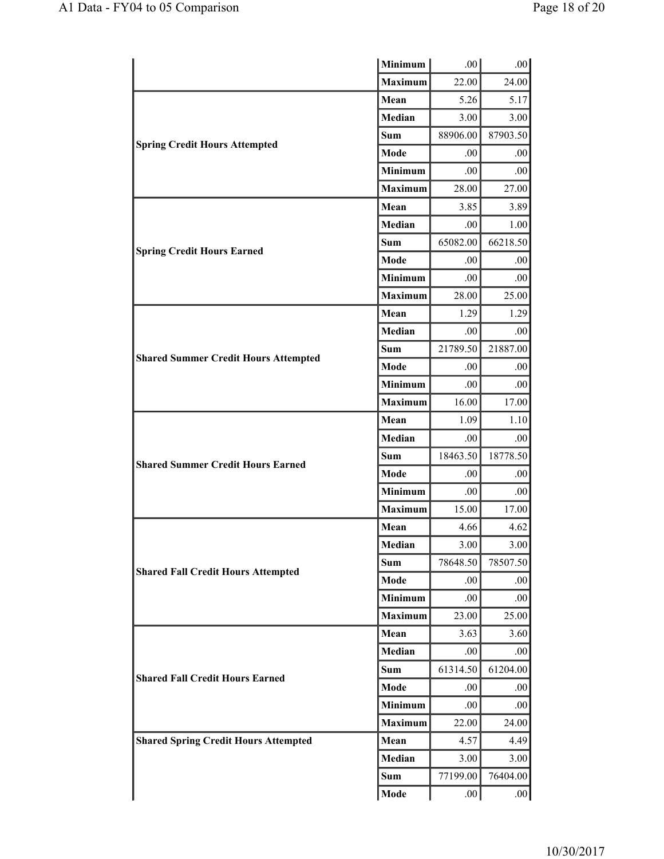|                                             | <b>Minimum</b> | .00.     | .00.     |
|---------------------------------------------|----------------|----------|----------|
|                                             | <b>Maximum</b> | 22.00    | 24.00    |
|                                             | Mean           | 5.26     | 5.17     |
|                                             | Median         | 3.00     | 3.00     |
|                                             | <b>Sum</b>     | 88906.00 | 87903.50 |
| <b>Spring Credit Hours Attempted</b>        | Mode           | .00      | .00      |
|                                             | <b>Minimum</b> | .00.     | .00      |
|                                             | <b>Maximum</b> | 28.00    | 27.00    |
|                                             | Mean           | 3.85     | 3.89     |
|                                             | <b>Median</b>  | .00.     | 1.00     |
|                                             | <b>Sum</b>     | 65082.00 | 66218.50 |
| <b>Spring Credit Hours Earned</b>           | Mode           | .00      | .00      |
|                                             | <b>Minimum</b> | .00.     | .00      |
|                                             | <b>Maximum</b> | 28.00    | 25.00    |
|                                             | Mean           | 1.29     | 1.29     |
|                                             | Median         | .00      | .00      |
| <b>Shared Summer Credit Hours Attempted</b> | Sum            | 21789.50 | 21887.00 |
|                                             | Mode           | .00      | .00      |
|                                             | Minimum        | .00.     | .00      |
|                                             | <b>Maximum</b> | 16.00    | 17.00    |
|                                             | Mean           | 1.09     | 1.10     |
|                                             | Median         | .00.     | .00      |
| <b>Shared Summer Credit Hours Earned</b>    | <b>Sum</b>     | 18463.50 | 18778.50 |
|                                             | Mode           | .00      | .00      |
|                                             | <b>Minimum</b> | .00.     | .00      |
|                                             | <b>Maximum</b> | 15.00    | 17.00    |
|                                             | Mean           | 4.66     | 4.62     |
|                                             | Median         | 3.00     | 3.00     |
| <b>Shared Fall Credit Hours Attempted</b>   | <b>Sum</b>     | 78648.50 | 78507.50 |
|                                             | Mode           | .00.     | .00      |
|                                             | Minimum        | .00.     | .00      |
|                                             | <b>Maximum</b> | 23.00    | 25.00    |
|                                             | Mean           | 3.63     | 3.60     |
|                                             | Median         | .00.     | .00      |
| <b>Shared Fall Credit Hours Earned</b>      | <b>Sum</b>     | 61314.50 | 61204.00 |
|                                             | Mode           | .00.     | .00      |
|                                             | <b>Minimum</b> | .00.     | .00      |
|                                             | <b>Maximum</b> | 22.00    | 24.00    |
| <b>Shared Spring Credit Hours Attempted</b> | Mean           | 4.57     | 4.49     |
|                                             | Median         | 3.00     | 3.00     |
|                                             | <b>Sum</b>     | 77199.00 | 76404.00 |
|                                             | Mode           | .00.     | .00      |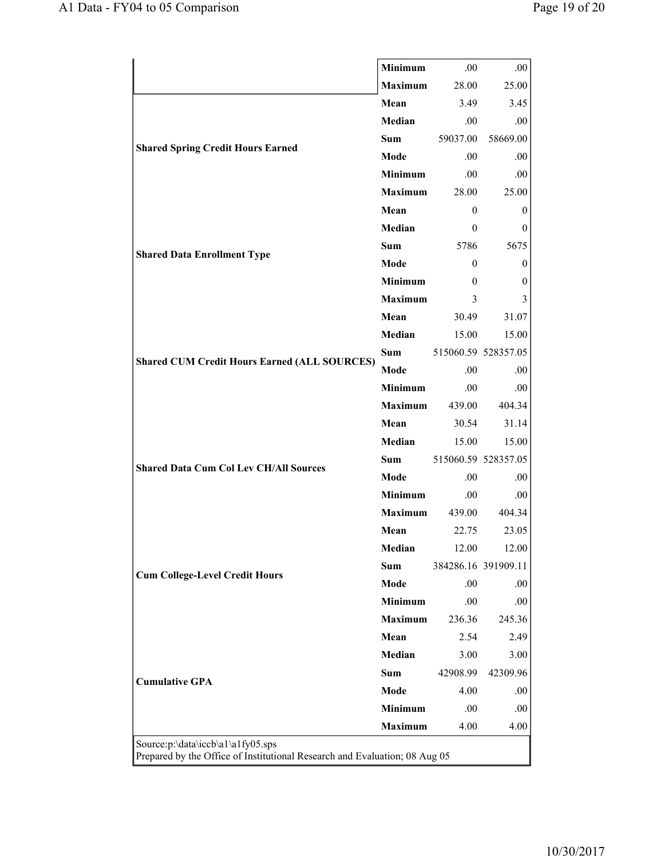|                                                     | Minimum        | .00.           | .00                 |
|-----------------------------------------------------|----------------|----------------|---------------------|
|                                                     | <b>Maximum</b> | 28.00          | 25.00               |
|                                                     | Mean           | 3.49           | 3.45                |
|                                                     | Median         | .00.           | .00.                |
| <b>Shared Spring Credit Hours Earned</b>            | <b>Sum</b>     | 59037.00       | 58669.00            |
|                                                     | Mode           | .00.           | .00                 |
|                                                     | <b>Minimum</b> | .00.           | .00.                |
|                                                     | <b>Maximum</b> | 28.00          | 25.00               |
|                                                     | Mean           | $\theta$       | $\theta$            |
|                                                     | Median         | $\theta$       | 0                   |
|                                                     | <b>Sum</b>     | 5786           | 5675                |
| <b>Shared Data Enrollment Type</b>                  | Mode           | $\overline{0}$ | 0                   |
|                                                     | <b>Minimum</b> | $\theta$       | 0                   |
|                                                     | <b>Maximum</b> | 3              | 3                   |
|                                                     | Mean           | 30.49          | 31.07               |
|                                                     | Median         | 15.00          | 15.00               |
| <b>Shared CUM Credit Hours Earned (ALL SOURCES)</b> | <b>Sum</b>     |                | 515060.59 528357.05 |
|                                                     | Mode           | .00            | .00.                |
|                                                     | <b>Minimum</b> | .00.           | .00                 |
|                                                     | <b>Maximum</b> | 439.00         | 404.34              |
|                                                     | Mean           | 30.54          | 31.14               |
|                                                     | Median         | 15.00          | 15.00               |
| <b>Shared Data Cum Col Lev CH/All Sources</b>       | <b>Sum</b>     |                | 515060.59 528357.05 |
|                                                     | Mode           | .00.           | .00.                |
|                                                     | <b>Minimum</b> | .00.           | .00                 |
|                                                     | <b>Maximum</b> | 439.00         | 404.34              |
|                                                     | Mean           | 22.75          | 23.05               |
|                                                     | Median         | 12.00          | 12.00               |
| <b>Cum College-Level Credit Hours</b>               | <b>Sum</b>     |                | 384286.16 391909.11 |
|                                                     | Mode           | .00            | .00                 |
|                                                     | <b>Minimum</b> | .00            | .00                 |
|                                                     | <b>Maximum</b> | 236.36         | 245.36              |
|                                                     | Mean           | 2.54           | 2.49                |
|                                                     | Median         | 3.00           | 3.00                |
|                                                     | <b>Sum</b>     | 42908.99       | 42309.96            |
|                                                     |                |                | .00                 |
| <b>Cumulative GPA</b>                               | Mode           | 4.00           |                     |
|                                                     | <b>Minimum</b> | .00            | .00                 |